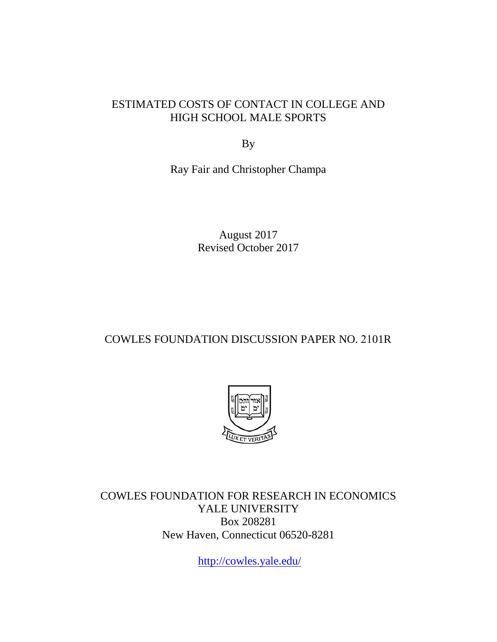### ESTIMATED COSTS OF CONTACT IN COLLEGE AND HIGH SCHOOL MALE SPORTS

By

Ray Fair and Christopher Champa

August 2017 Revised October 2017

### COWLES FOUNDATION DISCUSSION PAPER NO. 2101R



COWLES FOUNDATION FOR RESEARCH IN ECONOMICS YALE UNIVERSITY Box 208281 New Haven, Connecticut 06520-8281

<http://cowles.yale.edu/>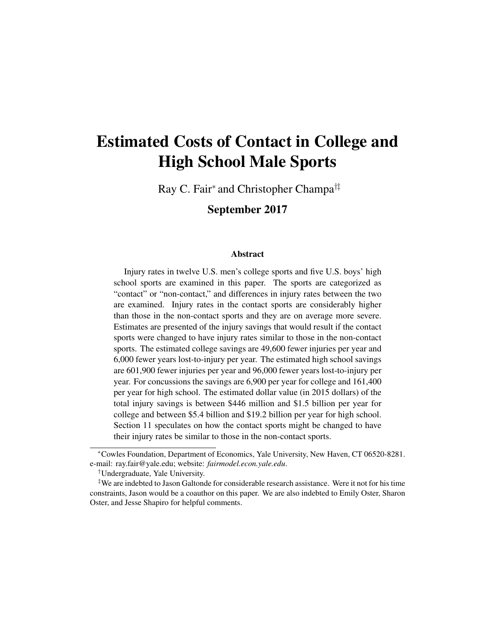# Estimated Costs of Contact in College and High School Male Sports

Ray C. Fair<sup>∗</sup> and Christopher Champa†‡

September 2017

#### Abstract

Injury rates in twelve U.S. men's college sports and five U.S. boys' high school sports are examined in this paper. The sports are categorized as "contact" or "non-contact," and differences in injury rates between the two are examined. Injury rates in the contact sports are considerably higher than those in the non-contact sports and they are on average more severe. Estimates are presented of the injury savings that would result if the contact sports were changed to have injury rates similar to those in the non-contact sports. The estimated college savings are 49,600 fewer injuries per year and 6,000 fewer years lost-to-injury per year. The estimated high school savings are 601,900 fewer injuries per year and 96,000 fewer years lost-to-injury per year. For concussions the savings are 6,900 per year for college and 161,400 per year for high school. The estimated dollar value (in 2015 dollars) of the total injury savings is between \$446 million and \$1.5 billion per year for college and between \$5.4 billion and \$19.2 billion per year for high school. Section 11 speculates on how the contact sports might be changed to have their injury rates be similar to those in the non-contact sports.

<sup>∗</sup>Cowles Foundation, Department of Economics, Yale University, New Haven, CT 06520-8281. e-mail: ray.fair@yale.edu; website: *fairmodel.econ.yale.edu*.

<sup>†</sup>Undergraduate, Yale University.

<sup>‡</sup>We are indebted to Jason Galtonde for considerable research assistance. Were it not for his time constraints, Jason would be a coauthor on this paper. We are also indebted to Emily Oster, Sharon Oster, and Jesse Shapiro for helpful comments.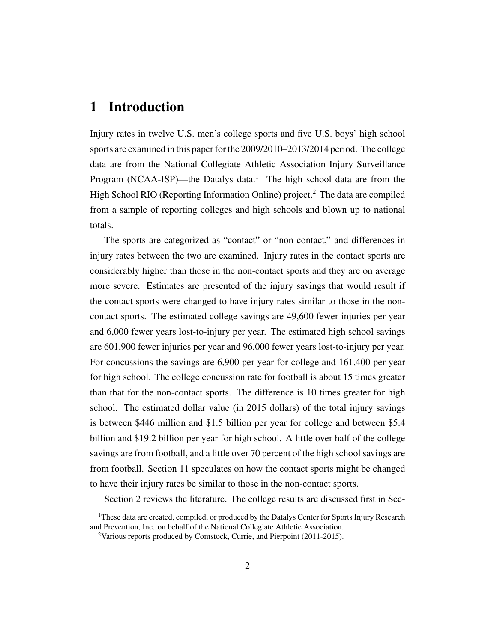# 1 Introduction

Injury rates in twelve U.S. men's college sports and five U.S. boys' high school sports are examined in this paper for the 2009/2010–2013/2014 period. The college data are from the National Collegiate Athletic Association Injury Surveillance Program (NCAA-ISP)—the Datalys data.<sup>1</sup> The high school data are from the High School RIO (Reporting Information Online) project.<sup>2</sup> The data are compiled from a sample of reporting colleges and high schools and blown up to national totals.

The sports are categorized as "contact" or "non-contact," and differences in injury rates between the two are examined. Injury rates in the contact sports are considerably higher than those in the non-contact sports and they are on average more severe. Estimates are presented of the injury savings that would result if the contact sports were changed to have injury rates similar to those in the noncontact sports. The estimated college savings are 49,600 fewer injuries per year and 6,000 fewer years lost-to-injury per year. The estimated high school savings are 601,900 fewer injuries per year and 96,000 fewer years lost-to-injury per year. For concussions the savings are 6,900 per year for college and 161,400 per year for high school. The college concussion rate for football is about 15 times greater than that for the non-contact sports. The difference is 10 times greater for high school. The estimated dollar value (in 2015 dollars) of the total injury savings is between \$446 million and \$1.5 billion per year for college and between \$5.4 billion and \$19.2 billion per year for high school. A little over half of the college savings are from football, and a little over 70 percent of the high school savings are from football. Section 11 speculates on how the contact sports might be changed to have their injury rates be similar to those in the non-contact sports.

Section 2 reviews the literature. The college results are discussed first in Sec-

<sup>&</sup>lt;sup>1</sup>These data are created, compiled, or produced by the Datalys Center for Sports Injury Research and Prevention, Inc. on behalf of the National Collegiate Athletic Association.

<sup>&</sup>lt;sup>2</sup>Various reports produced by Comstock, Currie, and Pierpoint (2011-2015).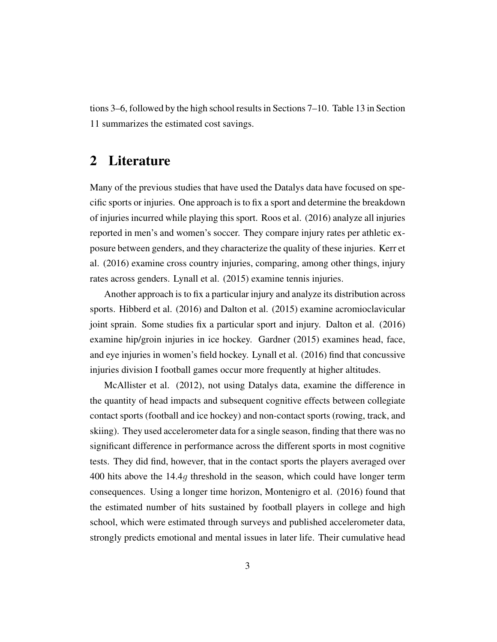tions 3–6, followed by the high school results in Sections 7–10. Table 13 in Section 11 summarizes the estimated cost savings.

# 2 Literature

Many of the previous studies that have used the Datalys data have focused on specific sports or injuries. One approach is to fix a sport and determine the breakdown of injuries incurred while playing this sport. Roos et al. (2016) analyze all injuries reported in men's and women's soccer. They compare injury rates per athletic exposure between genders, and they characterize the quality of these injuries. Kerr et al. (2016) examine cross country injuries, comparing, among other things, injury rates across genders. Lynall et al. (2015) examine tennis injuries.

Another approach is to fix a particular injury and analyze its distribution across sports. Hibberd et al. (2016) and Dalton et al. (2015) examine acromioclavicular joint sprain. Some studies fix a particular sport and injury. Dalton et al. (2016) examine hip/groin injuries in ice hockey. Gardner (2015) examines head, face, and eye injuries in women's field hockey. Lynall et al. (2016) find that concussive injuries division I football games occur more frequently at higher altitudes.

McAllister et al. (2012), not using Datalys data, examine the difference in the quantity of head impacts and subsequent cognitive effects between collegiate contact sports (football and ice hockey) and non-contact sports (rowing, track, and skiing). They used accelerometer data for a single season, finding that there was no significant difference in performance across the different sports in most cognitive tests. They did find, however, that in the contact sports the players averaged over 400 hits above the 14.4g threshold in the season, which could have longer term consequences. Using a longer time horizon, Montenigro et al. (2016) found that the estimated number of hits sustained by football players in college and high school, which were estimated through surveys and published accelerometer data, strongly predicts emotional and mental issues in later life. Their cumulative head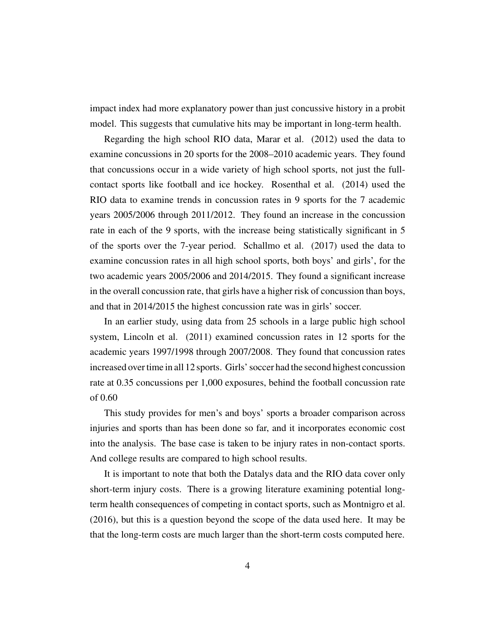impact index had more explanatory power than just concussive history in a probit model. This suggests that cumulative hits may be important in long-term health.

Regarding the high school RIO data, Marar et al. (2012) used the data to examine concussions in 20 sports for the 2008–2010 academic years. They found that concussions occur in a wide variety of high school sports, not just the fullcontact sports like football and ice hockey. Rosenthal et al. (2014) used the RIO data to examine trends in concussion rates in 9 sports for the 7 academic years 2005/2006 through 2011/2012. They found an increase in the concussion rate in each of the 9 sports, with the increase being statistically significant in 5 of the sports over the 7-year period. Schallmo et al. (2017) used the data to examine concussion rates in all high school sports, both boys' and girls', for the two academic years 2005/2006 and 2014/2015. They found a significant increase in the overall concussion rate, that girls have a higher risk of concussion than boys, and that in 2014/2015 the highest concussion rate was in girls' soccer.

In an earlier study, using data from 25 schools in a large public high school system, Lincoln et al. (2011) examined concussion rates in 12 sports for the academic years 1997/1998 through 2007/2008. They found that concussion rates increased over time in all 12 sports. Girls' soccer had the second highest concussion rate at 0.35 concussions per 1,000 exposures, behind the football concussion rate of 0.60

This study provides for men's and boys' sports a broader comparison across injuries and sports than has been done so far, and it incorporates economic cost into the analysis. The base case is taken to be injury rates in non-contact sports. And college results are compared to high school results.

It is important to note that both the Datalys data and the RIO data cover only short-term injury costs. There is a growing literature examining potential longterm health consequences of competing in contact sports, such as Montnigro et al. (2016), but this is a question beyond the scope of the data used here. It may be that the long-term costs are much larger than the short-term costs computed here.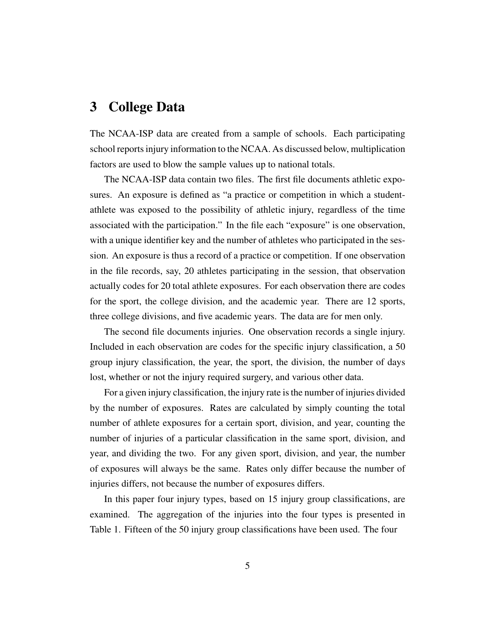# 3 College Data

The NCAA-ISP data are created from a sample of schools. Each participating school reports injury information to the NCAA. As discussed below, multiplication factors are used to blow the sample values up to national totals.

The NCAA-ISP data contain two files. The first file documents athletic exposures. An exposure is defined as "a practice or competition in which a studentathlete was exposed to the possibility of athletic injury, regardless of the time associated with the participation." In the file each "exposure" is one observation, with a unique identifier key and the number of athletes who participated in the session. An exposure is thus a record of a practice or competition. If one observation in the file records, say, 20 athletes participating in the session, that observation actually codes for 20 total athlete exposures. For each observation there are codes for the sport, the college division, and the academic year. There are 12 sports, three college divisions, and five academic years. The data are for men only.

The second file documents injuries. One observation records a single injury. Included in each observation are codes for the specific injury classification, a 50 group injury classification, the year, the sport, the division, the number of days lost, whether or not the injury required surgery, and various other data.

For a given injury classification, the injury rate is the number of injuries divided by the number of exposures. Rates are calculated by simply counting the total number of athlete exposures for a certain sport, division, and year, counting the number of injuries of a particular classification in the same sport, division, and year, and dividing the two. For any given sport, division, and year, the number of exposures will always be the same. Rates only differ because the number of injuries differs, not because the number of exposures differs.

In this paper four injury types, based on 15 injury group classifications, are examined. The aggregation of the injuries into the four types is presented in Table 1. Fifteen of the 50 injury group classifications have been used. The four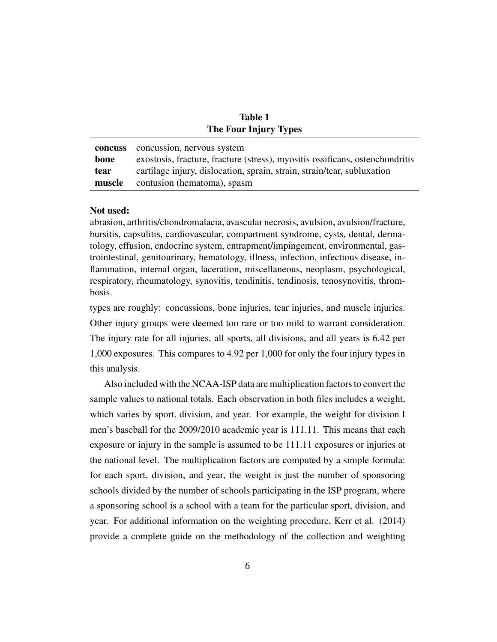| <b>Table 1</b>               |
|------------------------------|
| <b>The Four Injury Types</b> |

|        | <b>concuss</b> concussion, nervous system                                    |
|--------|------------------------------------------------------------------------------|
| bone   | exostosis, fracture, fracture (stress), myositis ossificans, osteochondritis |
| tear   | cartilage injury, dislocation, sprain, strain, strain/tear, subluxation      |
| muscle | contusion (hematoma), spasm                                                  |

#### Not used:

abrasion, arthritis/chondromalacia, avascular necrosis, avulsion, avulsion/fracture, bursitis, capsulitis, cardiovascular, compartment syndrome, cysts, dental, dermatology, effusion, endocrine system, entrapment/impingement, environmental, gastrointestinal, genitourinary, hematology, illness, infection, infectious disease, inflammation, internal organ, laceration, miscellaneous, neoplasm, psychological, respiratory, rheumatology, synovitis, tendinitis, tendinosis, tenosynovitis, thrombosis.

types are roughly: concussions, bone injuries, tear injuries, and muscle injuries. Other injury groups were deemed too rare or too mild to warrant consideration. The injury rate for all injuries, all sports, all divisions, and all years is 6.42 per 1,000 exposures. This compares to 4.92 per 1,000 for only the four injury types in this analysis.

Also included with the NCAA-ISP data are multiplication factors to convert the sample values to national totals. Each observation in both files includes a weight, which varies by sport, division, and year. For example, the weight for division I men's baseball for the 2009/2010 academic year is 111.11. This means that each exposure or injury in the sample is assumed to be 111.11 exposures or injuries at the national level. The multiplication factors are computed by a simple formula: for each sport, division, and year, the weight is just the number of sponsoring schools divided by the number of schools participating in the ISP program, where a sponsoring school is a school with a team for the particular sport, division, and year. For additional information on the weighting procedure, Kerr et al. (2014) provide a complete guide on the methodology of the collection and weighting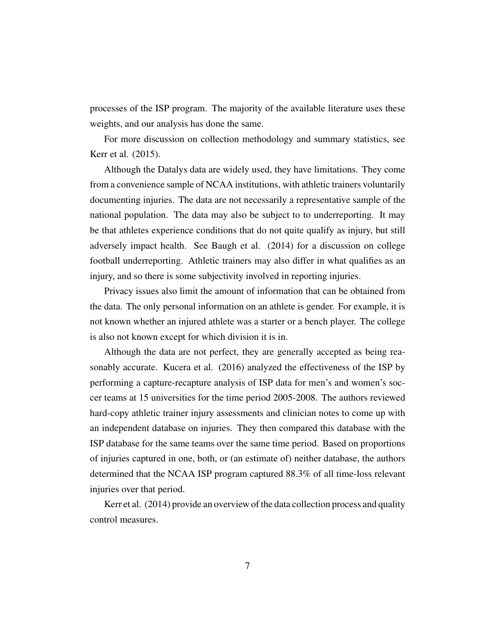processes of the ISP program. The majority of the available literature uses these weights, and our analysis has done the same.

For more discussion on collection methodology and summary statistics, see Kerr et al. (2015).

Although the Datalys data are widely used, they have limitations. They come from a convenience sample of NCAA institutions, with athletic trainers voluntarily documenting injuries. The data are not necessarily a representative sample of the national population. The data may also be subject to to underreporting. It may be that athletes experience conditions that do not quite qualify as injury, but still adversely impact health. See Baugh et al. (2014) for a discussion on college football underreporting. Athletic trainers may also differ in what qualifies as an injury, and so there is some subjectivity involved in reporting injuries.

Privacy issues also limit the amount of information that can be obtained from the data. The only personal information on an athlete is gender. For example, it is not known whether an injured athlete was a starter or a bench player. The college is also not known except for which division it is in.

Although the data are not perfect, they are generally accepted as being reasonably accurate. Kucera et al. (2016) analyzed the effectiveness of the ISP by performing a capture-recapture analysis of ISP data for men's and women's soccer teams at 15 universities for the time period 2005-2008. The authors reviewed hard-copy athletic trainer injury assessments and clinician notes to come up with an independent database on injuries. They then compared this database with the ISP database for the same teams over the same time period. Based on proportions of injuries captured in one, both, or (an estimate of) neither database, the authors determined that the NCAA ISP program captured 88.3% of all time-loss relevant injuries over that period.

Kerr et al. (2014) provide an overview of the data collection process and quality control measures.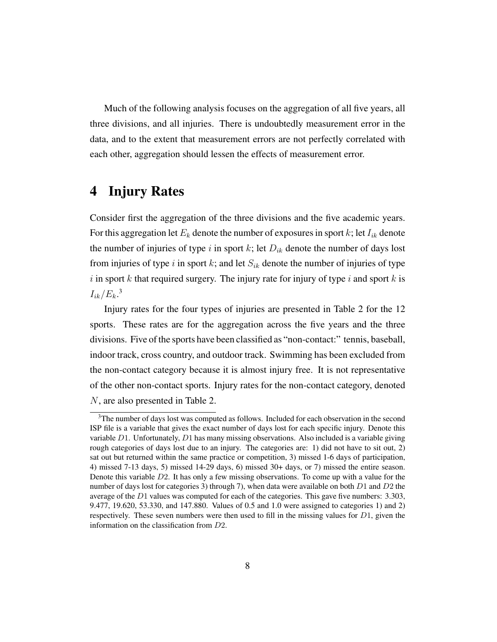Much of the following analysis focuses on the aggregation of all five years, all three divisions, and all injuries. There is undoubtedly measurement error in the data, and to the extent that measurement errors are not perfectly correlated with each other, aggregation should lessen the effects of measurement error.

# 4 Injury Rates

Consider first the aggregation of the three divisions and the five academic years. For this aggregation let  $E_k$  denote the number of exposures in sport k; let  $I_{ik}$  denote the number of injuries of type i in sport k; let  $D_{ik}$  denote the number of days lost from injuries of type i in sport k; and let  $S_{ik}$  denote the number of injuries of type i in sport  $k$  that required surgery. The injury rate for injury of type  $i$  and sport  $k$  is  $I_{ik}/E_k$ <sup>3</sup>

Injury rates for the four types of injuries are presented in Table 2 for the 12 sports. These rates are for the aggregation across the five years and the three divisions. Five of the sports have been classified as "non-contact:" tennis, baseball, indoor track, cross country, and outdoor track. Swimming has been excluded from the non-contact category because it is almost injury free. It is not representative of the other non-contact sports. Injury rates for the non-contact category, denoted N, are also presented in Table 2.

<sup>&</sup>lt;sup>3</sup>The number of days lost was computed as follows. Included for each observation in the second ISP file is a variable that gives the exact number of days lost for each specific injury. Denote this variable D1. Unfortunately, D1 has many missing observations. Also included is a variable giving rough categories of days lost due to an injury. The categories are: 1) did not have to sit out, 2) sat out but returned within the same practice or competition, 3) missed 1-6 days of participation, 4) missed 7-13 days, 5) missed 14-29 days, 6) missed 30+ days, or 7) missed the entire season. Denote this variable D2. It has only a few missing observations. To come up with a value for the number of days lost for categories 3) through 7), when data were available on both  $D1$  and  $D2$  the average of the D1 values was computed for each of the categories. This gave five numbers: 3.303, 9.477, 19.620, 53.330, and 147.880. Values of 0.5 and 1.0 were assigned to categories 1) and 2) respectively. These seven numbers were then used to fill in the missing values for  $D_1$ , given the information on the classification from D2.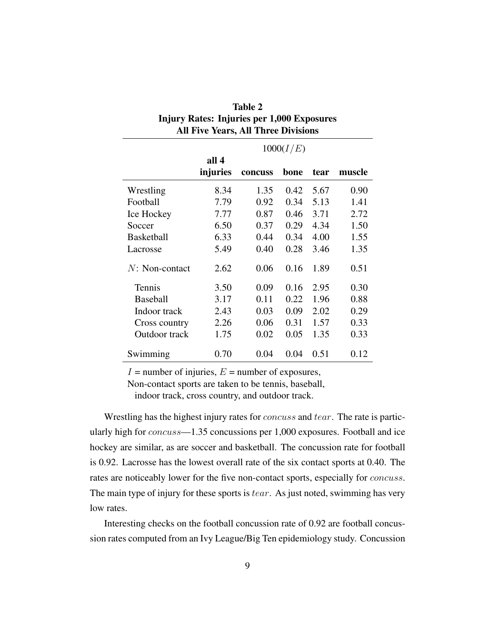| All Five Years, All Three Divisions |                   |         |      |      |        |  |  |  |
|-------------------------------------|-------------------|---------|------|------|--------|--|--|--|
|                                     | 1000(I/E)         |         |      |      |        |  |  |  |
|                                     | all 4<br>injuries | concuss | bone | tear | muscle |  |  |  |
| Wrestling                           | 8.34              | 1.35    | 0.42 | 5.67 | 0.90   |  |  |  |
| Football                            | 7.79              | 0.92    | 0.34 | 5.13 | 1.41   |  |  |  |
| Ice Hockey                          | 7.77              | 0.87    | 0.46 | 3.71 | 2.72   |  |  |  |
| Soccer                              | 6.50              | 0.37    | 0.29 | 4.34 | 1.50   |  |  |  |
| <b>Basketball</b>                   | 6.33              | 0.44    | 0.34 | 4.00 | 1.55   |  |  |  |
| Lacrosse                            | 5.49              | 0.40    | 0.28 | 3.46 | 1.35   |  |  |  |
| $N: Non-contact$                    | 2.62              | 0.06    | 0.16 | 1.89 | 0.51   |  |  |  |
| Tennis                              | 3.50              | 0.09    | 0.16 | 2.95 | 0.30   |  |  |  |
| <b>Baseball</b>                     | 3.17              | 0.11    | 0.22 | 1.96 | 0.88   |  |  |  |
| Indoor track                        | 2.43              | 0.03    | 0.09 | 2.02 | 0.29   |  |  |  |
| Cross country                       | 2.26              | 0.06    | 0.31 | 1.57 | 0.33   |  |  |  |
| Outdoor track                       | 1.75              | 0.02    | 0.05 | 1.35 | 0.33   |  |  |  |
| Swimming                            | 0.70              | 0.04    | 0.04 | 0.51 | 0.12   |  |  |  |

| Table 2                                           |
|---------------------------------------------------|
| <b>Injury Rates: Injuries per 1,000 Exposures</b> |
| <b>All Five Years, All Three Divisions</b>        |

 $I =$  number of injuries,  $E =$  number of exposures,

Non-contact sports are taken to be tennis, baseball,

indoor track, cross country, and outdoor track.

Wrestling has the highest injury rates for *concuss* and *tear*. The rate is particularly high for concuss—1.35 concussions per 1,000 exposures. Football and ice hockey are similar, as are soccer and basketball. The concussion rate for football is 0.92. Lacrosse has the lowest overall rate of the six contact sports at 0.40. The rates are noticeably lower for the five non-contact sports, especially for *concuss*. The main type of injury for these sports is  $tear$ . As just noted, swimming has very low rates.

Interesting checks on the football concussion rate of 0.92 are football concussion rates computed from an Ivy League/Big Ten epidemiology study. Concussion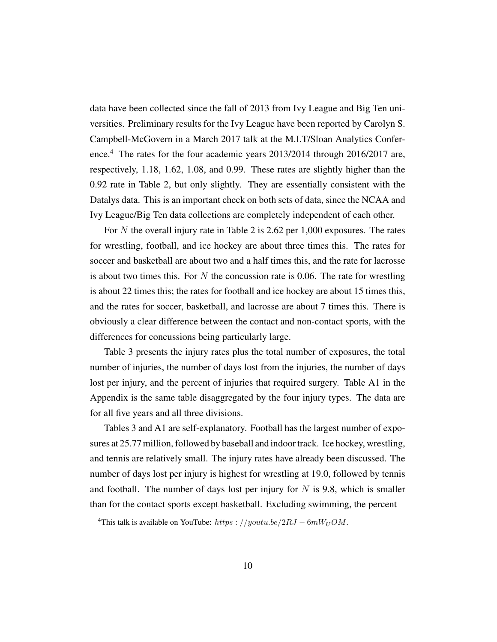data have been collected since the fall of 2013 from Ivy League and Big Ten universities. Preliminary results for the Ivy League have been reported by Carolyn S. Campbell-McGovern in a March 2017 talk at the M.I.T/Sloan Analytics Conference.<sup>4</sup> The rates for the four academic years 2013/2014 through 2016/2017 are, respectively, 1.18, 1.62, 1.08, and 0.99. These rates are slightly higher than the 0.92 rate in Table 2, but only slightly. They are essentially consistent with the Datalys data. This is an important check on both sets of data, since the NCAA and Ivy League/Big Ten data collections are completely independent of each other.

For N the overall injury rate in Table 2 is 2.62 per 1,000 exposures. The rates for wrestling, football, and ice hockey are about three times this. The rates for soccer and basketball are about two and a half times this, and the rate for lacrosse is about two times this. For  $N$  the concussion rate is 0.06. The rate for wrestling is about 22 times this; the rates for football and ice hockey are about 15 times this, and the rates for soccer, basketball, and lacrosse are about 7 times this. There is obviously a clear difference between the contact and non-contact sports, with the differences for concussions being particularly large.

Table 3 presents the injury rates plus the total number of exposures, the total number of injuries, the number of days lost from the injuries, the number of days lost per injury, and the percent of injuries that required surgery. Table A1 in the Appendix is the same table disaggregated by the four injury types. The data are for all five years and all three divisions.

Tables 3 and A1 are self-explanatory. Football has the largest number of exposures at 25.77 million, followed by baseball and indoor track. Ice hockey, wrestling, and tennis are relatively small. The injury rates have already been discussed. The number of days lost per injury is highest for wrestling at 19.0, followed by tennis and football. The number of days lost per injury for  $N$  is 9.8, which is smaller than for the contact sports except basketball. Excluding swimming, the percent

<sup>&</sup>lt;sup>4</sup>This talk is available on YouTube: https : //youtu.be/2RJ –  $6mW_UOM$ .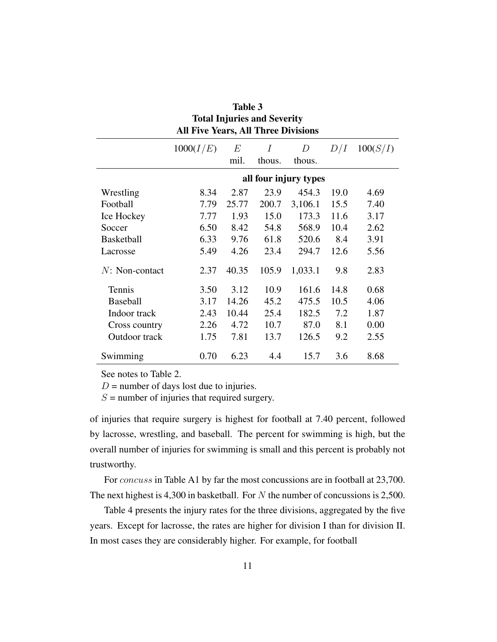| <b>Total Injuries and Severity</b><br><b>All Five Years, All Three Divisions</b> |           |       |        |                       |      |          |  |  |  |
|----------------------------------------------------------------------------------|-----------|-------|--------|-----------------------|------|----------|--|--|--|
|                                                                                  | 1000(I/E) | E     | I      | $\boldsymbol{D}$      | D/I  | 100(S/I) |  |  |  |
|                                                                                  |           | mil.  | thous. | thous.                |      |          |  |  |  |
|                                                                                  |           |       |        | all four injury types |      |          |  |  |  |
| Wrestling                                                                        | 8.34      | 2.87  | 23.9   | 454.3                 | 19.0 | 4.69     |  |  |  |
| Football                                                                         | 7.79      | 25.77 | 200.7  | 3,106.1               | 15.5 | 7.40     |  |  |  |
| Ice Hockey                                                                       | 7.77      | 1.93  | 15.0   | 173.3                 | 11.6 | 3.17     |  |  |  |
| Soccer                                                                           | 6.50      | 8.42  | 54.8   | 568.9                 | 10.4 | 2.62     |  |  |  |
| <b>Basketball</b>                                                                | 6.33      | 9.76  | 61.8   | 520.6                 | 8.4  | 3.91     |  |  |  |
| Lacrosse                                                                         | 5.49      | 4.26  | 23.4   | 294.7                 | 12.6 | 5.56     |  |  |  |
| $N: Non-contact$                                                                 | 2.37      | 40.35 | 105.9  | 1,033.1               | 9.8  | 2.83     |  |  |  |
| Tennis                                                                           | 3.50      | 3.12  | 10.9   | 161.6                 | 14.8 | 0.68     |  |  |  |
| <b>Baseball</b>                                                                  | 3.17      | 14.26 | 45.2   | 475.5                 | 10.5 | 4.06     |  |  |  |
| Indoor track                                                                     | 2.43      | 10.44 | 25.4   | 182.5                 | 7.2  | 1.87     |  |  |  |
| Cross country                                                                    | 2.26      | 4.72  | 10.7   | 87.0                  | 8.1  | 0.00     |  |  |  |
| Outdoor track                                                                    | 1.75      | 7.81  | 13.7   | 126.5                 | 9.2  | 2.55     |  |  |  |
| Swimming                                                                         | 0.70      | 6.23  | 4.4    | 15.7                  | 3.6  | 8.68     |  |  |  |

| Table 3                                    |
|--------------------------------------------|
| <b>Total Injuries and Severity</b>         |
| <b>All Five Years, All Three Divisions</b> |

See notes to Table 2.

 $D$  = number of days lost due to injuries.

 $S =$  number of injuries that required surgery.

of injuries that require surgery is highest for football at 7.40 percent, followed by lacrosse, wrestling, and baseball. The percent for swimming is high, but the overall number of injuries for swimming is small and this percent is probably not trustworthy.

For *concuss* in Table A1 by far the most concussions are in football at 23,700. The next highest is 4,300 in basketball. For N the number of concussions is 2,500.

Table 4 presents the injury rates for the three divisions, aggregated by the five years. Except for lacrosse, the rates are higher for division I than for division II. In most cases they are considerably higher. For example, for football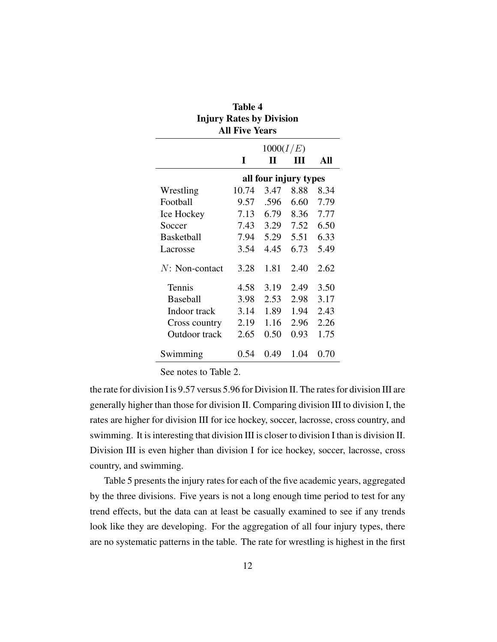| Table 4                         |                       |      |      |      |  |  |  |  |  |  |
|---------------------------------|-----------------------|------|------|------|--|--|--|--|--|--|
| <b>Injury Rates by Division</b> |                       |      |      |      |  |  |  |  |  |  |
|                                 | <b>All Five Years</b> |      |      |      |  |  |  |  |  |  |
| 1000(I/E)                       |                       |      |      |      |  |  |  |  |  |  |
|                                 | I                     | Н    | ш    | All  |  |  |  |  |  |  |
| all four injury types           |                       |      |      |      |  |  |  |  |  |  |
| Wrestling                       | 10.74                 | 3.47 | 8.88 | 8.34 |  |  |  |  |  |  |
| Football                        | 9.57                  | .596 | 6.60 | 7.79 |  |  |  |  |  |  |
| Ice Hockey                      | 7.13                  | 6.79 | 8.36 | 7.77 |  |  |  |  |  |  |
| Soccer                          | 7.43                  | 3.29 | 7.52 | 6.50 |  |  |  |  |  |  |
| <b>Basketball</b>               | 7.94                  | 5.29 | 5.51 | 6.33 |  |  |  |  |  |  |
| Lacrosse                        | 3.54                  | 4.45 | 6.73 | 5.49 |  |  |  |  |  |  |
| $N: Non-contact$                | 3.28                  | 1.81 | 2.40 | 2.62 |  |  |  |  |  |  |
| Tennis                          | 4.58                  | 3.19 | 2.49 | 3.50 |  |  |  |  |  |  |
| <b>Baseball</b>                 | 3.98                  | 2.53 | 2.98 | 3.17 |  |  |  |  |  |  |
| Indoor track                    | 3.14                  | 1.89 | 1.94 | 2.43 |  |  |  |  |  |  |
| Cross country                   | 2.19                  | 1.16 | 2.96 | 2.26 |  |  |  |  |  |  |
| Outdoor track                   | 2.65                  | 0.50 | 0.93 | 1.75 |  |  |  |  |  |  |
| Swimming                        | 0.54                  | 0.49 | 1.04 | 0.70 |  |  |  |  |  |  |

See notes to Table 2.

the rate for division I is 9.57 versus 5.96 for Division II. The rates for division III are generally higher than those for division II. Comparing division III to division I, the rates are higher for division III for ice hockey, soccer, lacrosse, cross country, and swimming. It is interesting that division III is closer to division I than is division II. Division III is even higher than division I for ice hockey, soccer, lacrosse, cross country, and swimming.

Table 5 presents the injury rates for each of the five academic years, aggregated by the three divisions. Five years is not a long enough time period to test for any trend effects, but the data can at least be casually examined to see if any trends look like they are developing. For the aggregation of all four injury types, there are no systematic patterns in the table. The rate for wrestling is highest in the first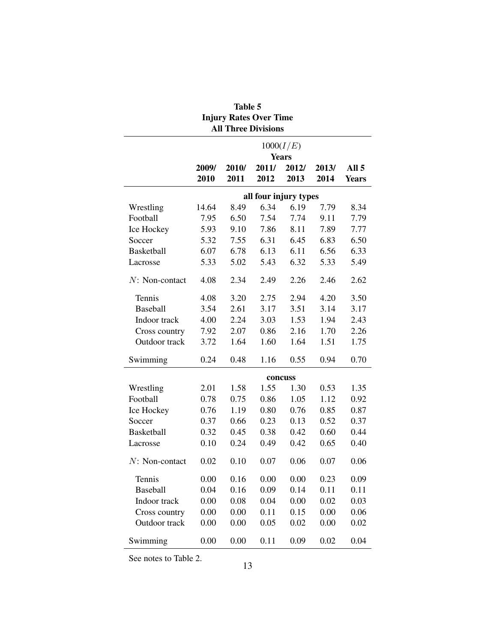| <b>Injury Rates Over Time</b><br><b>All Three Divisions</b> |               |               |               |               |               |                                  |  |  |  |  |
|-------------------------------------------------------------|---------------|---------------|---------------|---------------|---------------|----------------------------------|--|--|--|--|
| 1000(I/E)<br><b>Years</b>                                   |               |               |               |               |               |                                  |  |  |  |  |
|                                                             |               |               |               |               |               |                                  |  |  |  |  |
|                                                             | 2009/<br>2010 | 2010/<br>2011 | 2011/<br>2012 | 2012/<br>2013 | 2013/<br>2014 | All <sub>5</sub><br><b>Years</b> |  |  |  |  |
| all four injury types                                       |               |               |               |               |               |                                  |  |  |  |  |
| Wrestling                                                   | 14.64         | 8.49          | 6.34          | 6.19          | 7.79          | 8.34                             |  |  |  |  |
| Football                                                    | 7.95          | 6.50          | 7.54          | 7.74          | 9.11          | 7.79                             |  |  |  |  |
| Ice Hockey                                                  | 5.93          | 9.10          | 7.86          | 8.11          | 7.89          | 7.77                             |  |  |  |  |
| Soccer                                                      | 5.32          | 7.55          | 6.31          | 6.45          | 6.83          | 6.50                             |  |  |  |  |
| <b>Basketball</b>                                           | 6.07          | 6.78          | 6.13          | 6.11          | 6.56          | 6.33                             |  |  |  |  |
| Lacrosse                                                    | 5.33          | 5.02          | 5.43          | 6.32          | 5.33          | 5.49                             |  |  |  |  |
| $N$ : Non-contact                                           | 4.08          | 2.34          | 2.49          | 2.26          | 2.46          | 2.62                             |  |  |  |  |
| Tennis                                                      | 4.08          | 3.20          | 2.75          | 2.94          | 4.20          | 3.50                             |  |  |  |  |
| Baseball                                                    | 3.54          | 2.61          | 3.17          | 3.51          | 3.14          | 3.17                             |  |  |  |  |
| Indoor track                                                | 4.00          | 2.24          | 3.03          | 1.53          | 1.94          | 2.43                             |  |  |  |  |
| Cross country                                               | 7.92          | 2.07          | 0.86          | 2.16          | 1.70          | 2.26                             |  |  |  |  |
| Outdoor track                                               | 3.72          | 1.64          | 1.60          | 1.64          | 1.51          | 1.75                             |  |  |  |  |
| Swimming                                                    | 0.24          | 0.48          | 1.16          | 0.55          | 0.94          | 0.70                             |  |  |  |  |
|                                                             |               |               |               | concuss       |               |                                  |  |  |  |  |
| Wrestling                                                   | 2.01          | 1.58          | 1.55          | 1.30          | 0.53          | 1.35                             |  |  |  |  |
| Football                                                    | 0.78          | 0.75          | 0.86          | 1.05          | 1.12          | 0.92                             |  |  |  |  |
| Ice Hockey                                                  | 0.76          | 1.19          | 0.80          | 0.76          | 0.85          | 0.87                             |  |  |  |  |
| Soccer                                                      | 0.37          | 0.66          | 0.23          | 0.13          | 0.52          | 0.37                             |  |  |  |  |
| Basketball                                                  | 0.32          | 0.45          | 0.38          | 0.42          | 0.60          | 0.44                             |  |  |  |  |
| Lacrosse                                                    | 0.10          | 0.24          | 0.49          | 0.42          | 0.65          | 0.40                             |  |  |  |  |
| $N: Non-contact$                                            | 0.02          | 0.10          | 0.07          | 0.06          | 0.07          | 0.06                             |  |  |  |  |
| Tennis                                                      | 0.00          | 0.16          | 0.00          | 0.00          | 0.23          | 0.09                             |  |  |  |  |
| <b>Baseball</b>                                             | 0.04          | 0.16          | 0.09          | 0.14          | 0.11          | 0.11                             |  |  |  |  |
| Indoor track                                                | 0.00          | 0.08          | 0.04          | 0.00          | 0.02          | 0.03                             |  |  |  |  |
| Cross country                                               | 0.00          | 0.00          | 0.11          | 0.15          | 0.00          | 0.06                             |  |  |  |  |
| Outdoor track                                               | 0.00          | 0.00          | 0.05          | 0.02          | 0.00          | 0.02                             |  |  |  |  |
| Swimming                                                    | 0.00          | 0.00          | 0.11          | 0.09          | 0.02          | 0.04                             |  |  |  |  |

# Table 5

See notes to Table 2.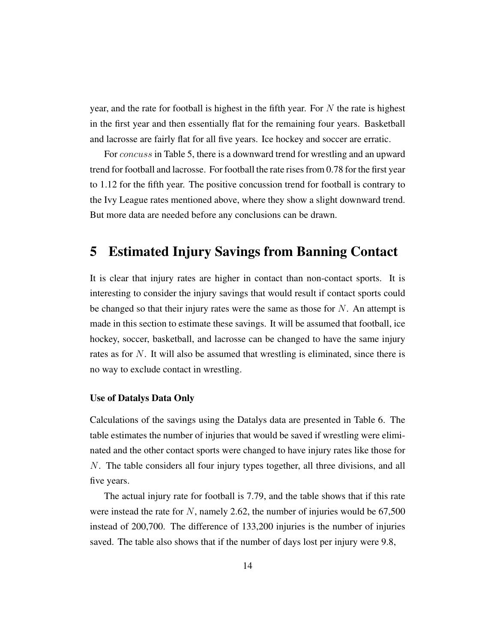year, and the rate for football is highest in the fifth year. For  $N$  the rate is highest in the first year and then essentially flat for the remaining four years. Basketball and lacrosse are fairly flat for all five years. Ice hockey and soccer are erratic.

For *concuss* in Table 5, there is a downward trend for wrestling and an upward trend for football and lacrosse. For football the rate rises from 0.78 for the first year to 1.12 for the fifth year. The positive concussion trend for football is contrary to the Ivy League rates mentioned above, where they show a slight downward trend. But more data are needed before any conclusions can be drawn.

# 5 Estimated Injury Savings from Banning Contact

It is clear that injury rates are higher in contact than non-contact sports. It is interesting to consider the injury savings that would result if contact sports could be changed so that their injury rates were the same as those for  $N$ . An attempt is made in this section to estimate these savings. It will be assumed that football, ice hockey, soccer, basketball, and lacrosse can be changed to have the same injury rates as for N. It will also be assumed that wrestling is eliminated, since there is no way to exclude contact in wrestling.

#### Use of Datalys Data Only

Calculations of the savings using the Datalys data are presented in Table 6. The table estimates the number of injuries that would be saved if wrestling were eliminated and the other contact sports were changed to have injury rates like those for N. The table considers all four injury types together, all three divisions, and all five years.

The actual injury rate for football is 7.79, and the table shows that if this rate were instead the rate for  $N$ , namely 2.62, the number of injuries would be 67,500 instead of 200,700. The difference of 133,200 injuries is the number of injuries saved. The table also shows that if the number of days lost per injury were 9.8,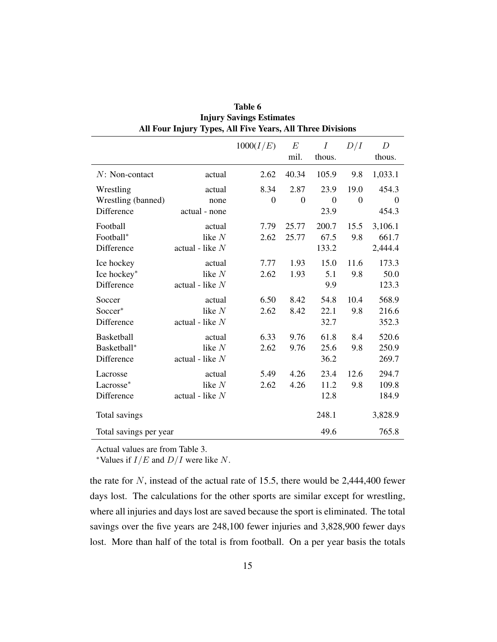|                        | $\frac{1}{2}$     |                |                  |                            |                |                            |  |  |  |  |
|------------------------|-------------------|----------------|------------------|----------------------------|----------------|----------------------------|--|--|--|--|
|                        |                   | 1000(I/E)      | $E\,$<br>mil.    | $\boldsymbol{I}$<br>thous. | D/I            | $\boldsymbol{D}$<br>thous. |  |  |  |  |
| $N: Non-contact$       | actual            | 2.62           | 40.34            | 105.9                      | 9.8            | 1,033.1                    |  |  |  |  |
| Wrestling              | actual            | 8.34           | 2.87             | 23.9                       | 19.0           | 454.3                      |  |  |  |  |
| Wrestling (banned)     | none              | $\overline{0}$ | $\boldsymbol{0}$ | $\boldsymbol{0}$           | $\overline{0}$ | $\overline{0}$             |  |  |  |  |
| Difference             | actual - none     |                |                  | 23.9                       |                | 454.3                      |  |  |  |  |
| Football               | actual            | 7.79           | 25.77            | 200.7                      | 15.5           | 3,106.1                    |  |  |  |  |
| Football*              | like $N$          | 2.62           | 25.77            | 67.5                       | 9.8            | 661.7                      |  |  |  |  |
| Difference             | actual - like $N$ |                |                  | 133.2                      |                | 2,444.4                    |  |  |  |  |
| Ice hockey             | actual            | 7.77           | 1.93             | 15.0                       | 11.6           | 173.3                      |  |  |  |  |
| Ice hockey*            | like $N$          | 2.62           | 1.93             | 5.1                        | 9.8            | 50.0                       |  |  |  |  |
| Difference             | actual - like $N$ |                |                  | 9.9                        |                | 123.3                      |  |  |  |  |
| Soccer                 | actual            | 6.50           | 8.42             | 54.8                       | 10.4           | 568.9                      |  |  |  |  |
| Soccer*                | like $N$          | 2.62           | 8.42             | 22.1                       | 9.8            | 216.6                      |  |  |  |  |
| Difference             | actual - like $N$ |                |                  | 32.7                       |                | 352.3                      |  |  |  |  |
| Basketball             | actual            | 6.33           | 9.76             | 61.8                       | 8.4            | 520.6                      |  |  |  |  |
| Basketball*            | like $N$          | 2.62           | 9.76             | 25.6                       | 9.8            | 250.9                      |  |  |  |  |
| Difference             | actual - like $N$ |                |                  | 36.2                       |                | 269.7                      |  |  |  |  |
| Lacrosse               | actual            | 5.49           | 4.26             | 23.4                       | 12.6           | 294.7                      |  |  |  |  |
| Lacrosse*              | like $N$          | 2.62           | 4.26             | 11.2                       | 9.8            | 109.8                      |  |  |  |  |
| Difference             | actual - like $N$ |                |                  | 12.8                       |                | 184.9                      |  |  |  |  |
| Total savings          |                   |                |                  | 248.1                      |                | 3,828.9                    |  |  |  |  |
| Total savings per year |                   |                |                  | 49.6                       |                | 765.8                      |  |  |  |  |

Table 6 Injury Savings Estimates All Four Injury Types, All Five Years, All Three Divisions

Actual values are from Table 3.

\*Values if  $I/E$  and  $D/I$  were like N.

the rate for  $N$ , instead of the actual rate of 15.5, there would be 2,444,400 fewer days lost. The calculations for the other sports are similar except for wrestling, where all injuries and days lost are saved because the sport is eliminated. The total savings over the five years are 248,100 fewer injuries and 3,828,900 fewer days lost. More than half of the total is from football. On a per year basis the totals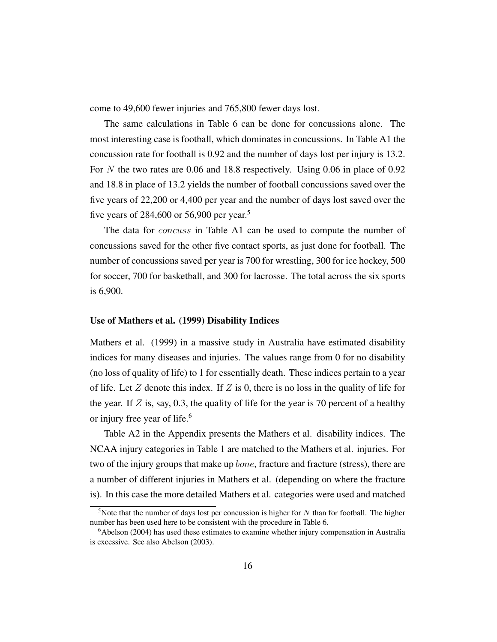come to 49,600 fewer injuries and 765,800 fewer days lost.

The same calculations in Table 6 can be done for concussions alone. The most interesting case is football, which dominates in concussions. In Table A1 the concussion rate for football is 0.92 and the number of days lost per injury is 13.2. For N the two rates are 0.06 and 18.8 respectively. Using 0.06 in place of 0.92 and 18.8 in place of 13.2 yields the number of football concussions saved over the five years of 22,200 or 4,400 per year and the number of days lost saved over the five years of 284,600 or 56,900 per year.<sup>5</sup>

The data for *concuss* in Table A1 can be used to compute the number of concussions saved for the other five contact sports, as just done for football. The number of concussions saved per year is 700 for wrestling, 300 for ice hockey, 500 for soccer, 700 for basketball, and 300 for lacrosse. The total across the six sports is 6,900.

#### Use of Mathers et al. (1999) Disability Indices

Mathers et al. (1999) in a massive study in Australia have estimated disability indices for many diseases and injuries. The values range from 0 for no disability (no loss of quality of life) to 1 for essentially death. These indices pertain to a year of life. Let  $Z$  denote this index. If  $Z$  is 0, there is no loss in the quality of life for the year. If  $Z$  is, say, 0.3, the quality of life for the year is 70 percent of a healthy or injury free year of life.<sup>6</sup>

Table A2 in the Appendix presents the Mathers et al. disability indices. The NCAA injury categories in Table 1 are matched to the Mathers et al. injuries. For two of the injury groups that make up *bone*, fracture and fracture (stress), there are a number of different injuries in Mathers et al. (depending on where the fracture is). In this case the more detailed Mathers et al. categories were used and matched

<sup>&</sup>lt;sup>5</sup>Note that the number of days lost per concussion is higher for  $N$  than for football. The higher number has been used here to be consistent with the procedure in Table 6.

<sup>&</sup>lt;sup>6</sup>Abelson (2004) has used these estimates to examine whether injury compensation in Australia is excessive. See also Abelson (2003).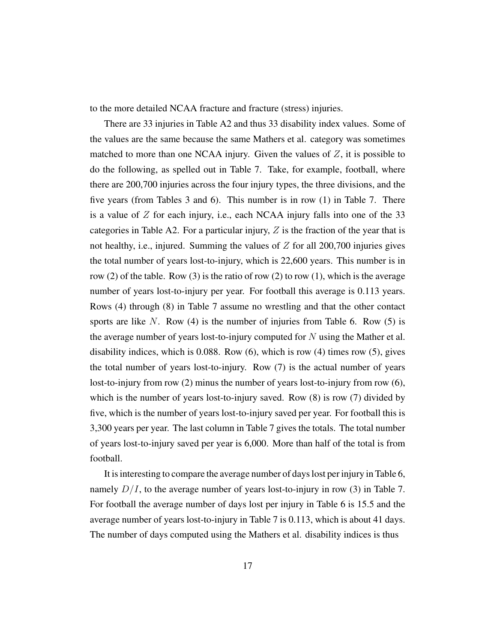to the more detailed NCAA fracture and fracture (stress) injuries.

There are 33 injuries in Table A2 and thus 33 disability index values. Some of the values are the same because the same Mathers et al. category was sometimes matched to more than one NCAA injury. Given the values of  $Z$ , it is possible to do the following, as spelled out in Table 7. Take, for example, football, where there are 200,700 injuries across the four injury types, the three divisions, and the five years (from Tables 3 and 6). This number is in row (1) in Table 7. There is a value of  $Z$  for each injury, i.e., each NCAA injury falls into one of the 33 categories in Table A2. For a particular injury,  $Z$  is the fraction of the year that is not healthy, i.e., injured. Summing the values of  $Z$  for all 200,700 injuries gives the total number of years lost-to-injury, which is 22,600 years. This number is in row (2) of the table. Row (3) is the ratio of row (2) to row (1), which is the average number of years lost-to-injury per year. For football this average is 0.113 years. Rows (4) through (8) in Table 7 assume no wrestling and that the other contact sports are like  $N$ . Row (4) is the number of injuries from Table 6. Row (5) is the average number of years lost-to-injury computed for  $N$  using the Mather et al. disability indices, which is 0.088. Row (6), which is row (4) times row (5), gives the total number of years lost-to-injury. Row (7) is the actual number of years lost-to-injury from row (2) minus the number of years lost-to-injury from row (6), which is the number of years lost-to-injury saved. Row  $(8)$  is row  $(7)$  divided by five, which is the number of years lost-to-injury saved per year. For football this is 3,300 years per year. The last column in Table 7 gives the totals. The total number of years lost-to-injury saved per year is 6,000. More than half of the total is from football.

It is interesting to compare the average number of days lost per injury in Table 6, namely  $D/I$ , to the average number of years lost-to-injury in row (3) in Table 7. For football the average number of days lost per injury in Table 6 is 15.5 and the average number of years lost-to-injury in Table 7 is 0.113, which is about 41 days. The number of days computed using the Mathers et al. disability indices is thus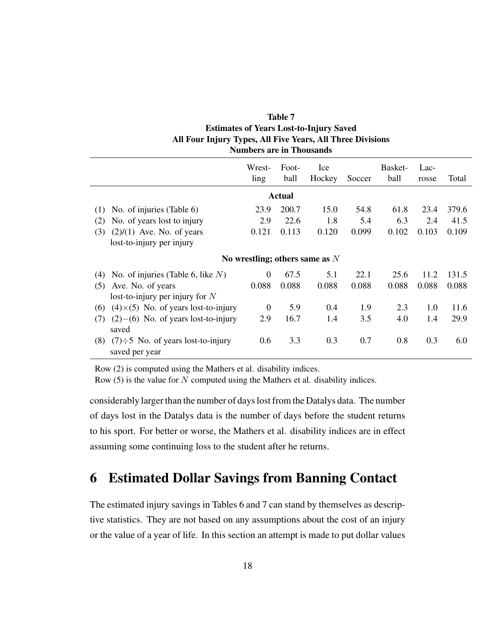| <b>Table 7</b>                                             |
|------------------------------------------------------------|
| <b>Estimates of Years Lost-to-Injury Saved</b>             |
| All Four Injury Types, All Five Years, All Three Divisions |
| <b>Numbers are in Thousands</b>                            |

|     |                                                           | Wrest-<br>ling | Foot-<br>ball | Ice<br>Hockey                    | Soccer | Basket-<br>ball | Lac-<br>rosse | Total |
|-----|-----------------------------------------------------------|----------------|---------------|----------------------------------|--------|-----------------|---------------|-------|
|     | Actual                                                    |                |               |                                  |        |                 |               |       |
| (1) | No. of injuries (Table 6)                                 | 23.9           | 200.7         | 15.0                             | 54.8   | 61.8            | 23.4          | 379.6 |
| (2) | No. of years lost to injury                               | 2.9            | 22.6          | 1.8                              | 5.4    | 6.3             | 2.4           | 41.5  |
| (3) | $(2)/(1)$ Ave. No. of years                               | 0.121          | 0.113         | 0.120                            | 0.099  | 0.102           | 0.103         | 0.109 |
|     | lost-to-injury per injury                                 |                |               |                                  |        |                 |               |       |
|     |                                                           |                |               | No wrestling; others same as $N$ |        |                 |               |       |
| (4) | No. of injuries (Table 6, like $N$ )                      | $\Omega$       | 67.5          | 5.1                              | 22.1   | 25.6            | 11.2          | 131.5 |
| (5) | Ave. No. of years                                         | 0.088          | 0.088         | 0.088                            | 0.088  | 0.088           | 0.088         | 0.088 |
|     | lost-to-injury per injury for $N$                         |                |               |                                  |        |                 |               |       |
| (6) | $(4)\times(5)$ No. of years lost-to-injury                | $\theta$       | 5.9           | 0.4                              | 1.9    | 2.3             | 1.0           | 11.6  |
| (7) | $(2)$ – $(6)$ No. of years lost-to-injury<br>saved        | 2.9            | 16.7          | 1.4                              | 3.5    | 4.0             | 1.4           | 29.9  |
| (8) | $(7)\div 5$ No. of years lost-to-injury<br>saved per year | 0.6            | 3.3           | 0.3                              | 0.7    | 0.8             | 0.3           | 6.0   |

Row (2) is computed using the Mathers et al. disability indices.

Row  $(5)$  is the value for N computed using the Mathers et al. disability indices.

considerably larger than the number of days lost from the Datalys data. The number of days lost in the Datalys data is the number of days before the student returns to his sport. For better or worse, the Mathers et al. disability indices are in effect assuming some continuing loss to the student after he returns.

# 6 Estimated Dollar Savings from Banning Contact

The estimated injury savings in Tables 6 and 7 can stand by themselves as descriptive statistics. They are not based on any assumptions about the cost of an injury or the value of a year of life. In this section an attempt is made to put dollar values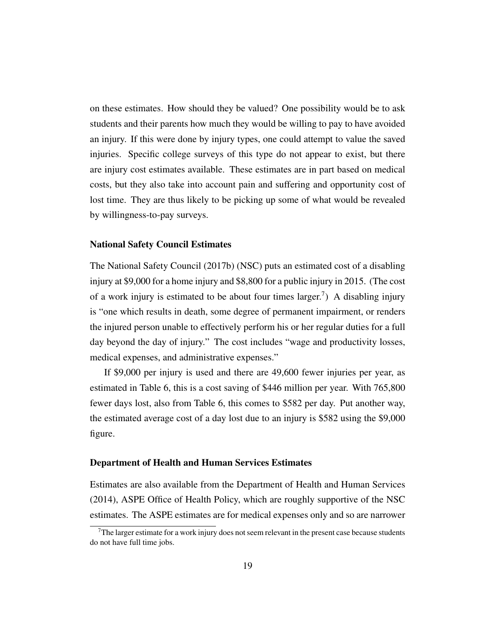on these estimates. How should they be valued? One possibility would be to ask students and their parents how much they would be willing to pay to have avoided an injury. If this were done by injury types, one could attempt to value the saved injuries. Specific college surveys of this type do not appear to exist, but there are injury cost estimates available. These estimates are in part based on medical costs, but they also take into account pain and suffering and opportunity cost of lost time. They are thus likely to be picking up some of what would be revealed by willingness-to-pay surveys.

#### National Safety Council Estimates

The National Safety Council (2017b) (NSC) puts an estimated cost of a disabling injury at \$9,000 for a home injury and \$8,800 for a public injury in 2015. (The cost of a work injury is estimated to be about four times larger.<sup>7</sup>) A disabling injury is "one which results in death, some degree of permanent impairment, or renders the injured person unable to effectively perform his or her regular duties for a full day beyond the day of injury." The cost includes "wage and productivity losses, medical expenses, and administrative expenses."

If \$9,000 per injury is used and there are 49,600 fewer injuries per year, as estimated in Table 6, this is a cost saving of \$446 million per year. With 765,800 fewer days lost, also from Table 6, this comes to \$582 per day. Put another way, the estimated average cost of a day lost due to an injury is \$582 using the \$9,000 figure.

#### Department of Health and Human Services Estimates

Estimates are also available from the Department of Health and Human Services (2014), ASPE Office of Health Policy, which are roughly supportive of the NSC estimates. The ASPE estimates are for medical expenses only and so are narrower

 $7$ The larger estimate for a work injury does not seem relevant in the present case because students do not have full time jobs.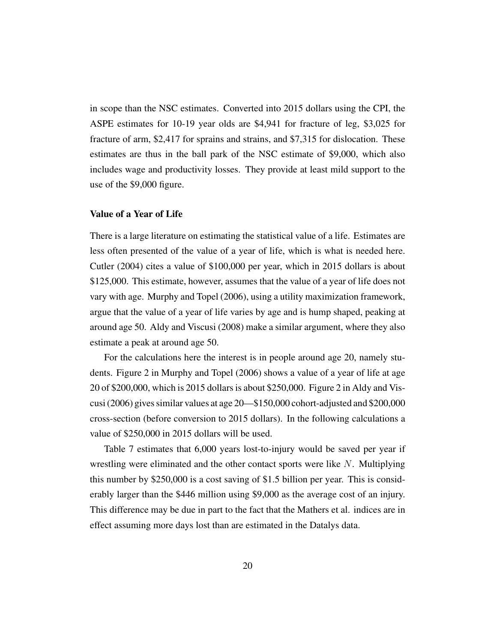in scope than the NSC estimates. Converted into 2015 dollars using the CPI, the ASPE estimates for 10-19 year olds are \$4,941 for fracture of leg, \$3,025 for fracture of arm, \$2,417 for sprains and strains, and \$7,315 for dislocation. These estimates are thus in the ball park of the NSC estimate of \$9,000, which also includes wage and productivity losses. They provide at least mild support to the use of the \$9,000 figure.

#### Value of a Year of Life

There is a large literature on estimating the statistical value of a life. Estimates are less often presented of the value of a year of life, which is what is needed here. Cutler (2004) cites a value of \$100,000 per year, which in 2015 dollars is about \$125,000. This estimate, however, assumes that the value of a year of life does not vary with age. Murphy and Topel (2006), using a utility maximization framework, argue that the value of a year of life varies by age and is hump shaped, peaking at around age 50. Aldy and Viscusi (2008) make a similar argument, where they also estimate a peak at around age 50.

For the calculations here the interest is in people around age 20, namely students. Figure 2 in Murphy and Topel (2006) shows a value of a year of life at age 20 of \$200,000, which is 2015 dollars is about \$250,000. Figure 2 in Aldy and Viscusi (2006) gives similar values at age 20—\$150,000 cohort-adjusted and \$200,000 cross-section (before conversion to 2015 dollars). In the following calculations a value of \$250,000 in 2015 dollars will be used.

Table 7 estimates that 6,000 years lost-to-injury would be saved per year if wrestling were eliminated and the other contact sports were like N. Multiplying this number by \$250,000 is a cost saving of \$1.5 billion per year. This is considerably larger than the \$446 million using \$9,000 as the average cost of an injury. This difference may be due in part to the fact that the Mathers et al. indices are in effect assuming more days lost than are estimated in the Datalys data.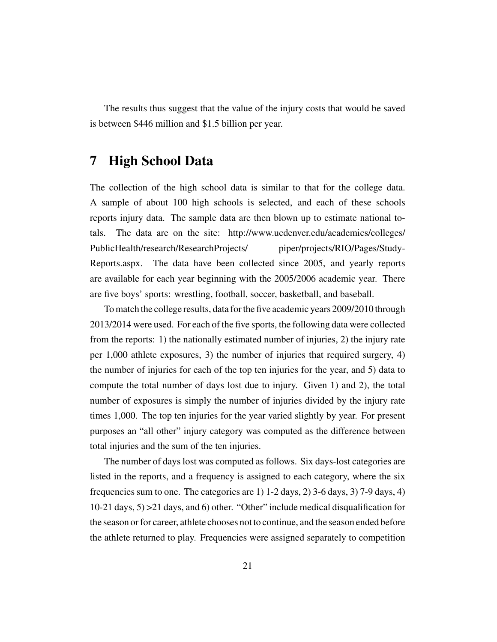The results thus suggest that the value of the injury costs that would be saved is between \$446 million and \$1.5 billion per year.

# 7 High School Data

The collection of the high school data is similar to that for the college data. A sample of about 100 high schools is selected, and each of these schools reports injury data. The sample data are then blown up to estimate national totals. The data are on the site: http://www.ucdenver.edu/academics/colleges/ PublicHealth/research/ResearchProjects/ piper/projects/RIO/Pages/Study-Reports.aspx. The data have been collected since 2005, and yearly reports are available for each year beginning with the 2005/2006 academic year. There are five boys' sports: wrestling, football, soccer, basketball, and baseball.

To match the college results, data for the five academic years 2009/2010 through 2013/2014 were used. For each of the five sports, the following data were collected from the reports: 1) the nationally estimated number of injuries, 2) the injury rate per 1,000 athlete exposures, 3) the number of injuries that required surgery, 4) the number of injuries for each of the top ten injuries for the year, and 5) data to compute the total number of days lost due to injury. Given 1) and 2), the total number of exposures is simply the number of injuries divided by the injury rate times 1,000. The top ten injuries for the year varied slightly by year. For present purposes an "all other" injury category was computed as the difference between total injuries and the sum of the ten injuries.

The number of days lost was computed as follows. Six days-lost categories are listed in the reports, and a frequency is assigned to each category, where the six frequencies sum to one. The categories are 1) 1-2 days, 2) 3-6 days, 3) 7-9 days, 4) 10-21 days, 5) >21 days, and 6) other. "Other" include medical disqualification for the season or for career, athlete chooses not to continue, and the season ended before the athlete returned to play. Frequencies were assigned separately to competition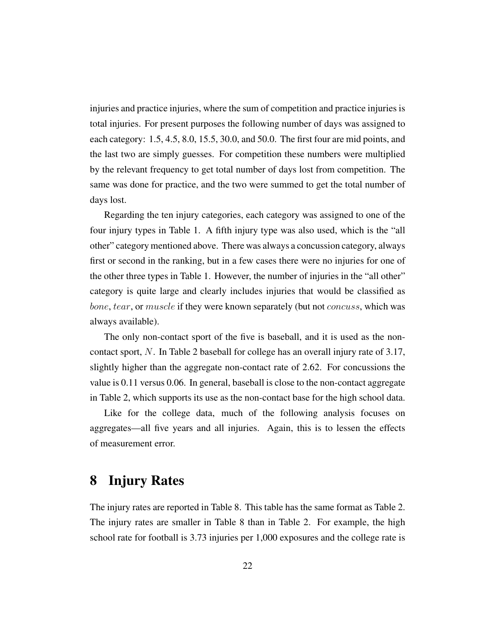injuries and practice injuries, where the sum of competition and practice injuries is total injuries. For present purposes the following number of days was assigned to each category: 1.5, 4.5, 8.0, 15.5, 30.0, and 50.0. The first four are mid points, and the last two are simply guesses. For competition these numbers were multiplied by the relevant frequency to get total number of days lost from competition. The same was done for practice, and the two were summed to get the total number of days lost.

Regarding the ten injury categories, each category was assigned to one of the four injury types in Table 1. A fifth injury type was also used, which is the "all other" category mentioned above. There was always a concussion category, always first or second in the ranking, but in a few cases there were no injuries for one of the other three types in Table 1. However, the number of injuries in the "all other" category is quite large and clearly includes injuries that would be classified as bone, tear, or muscle if they were known separately (but not concuss, which was always available).

The only non-contact sport of the five is baseball, and it is used as the noncontact sport, N. In Table 2 baseball for college has an overall injury rate of 3.17, slightly higher than the aggregate non-contact rate of 2.62. For concussions the value is 0.11 versus 0.06. In general, baseball is close to the non-contact aggregate in Table 2, which supports its use as the non-contact base for the high school data.

Like for the college data, much of the following analysis focuses on aggregates—all five years and all injuries. Again, this is to lessen the effects of measurement error.

# 8 Injury Rates

The injury rates are reported in Table 8. This table has the same format as Table 2. The injury rates are smaller in Table 8 than in Table 2. For example, the high school rate for football is 3.73 injuries per 1,000 exposures and the college rate is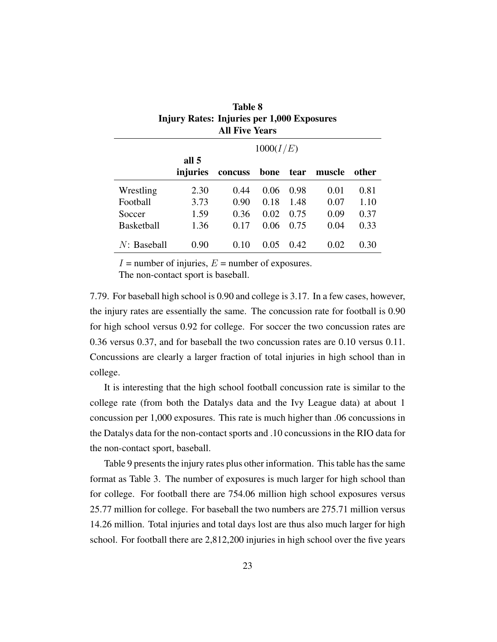| <b>Injury Rates: Injuries per 1,000 Exposures</b><br><b>All Five Years</b> |          |         |      |      |        |       |  |  |  |  |  |
|----------------------------------------------------------------------------|----------|---------|------|------|--------|-------|--|--|--|--|--|
| 1000(I/E)                                                                  |          |         |      |      |        |       |  |  |  |  |  |
|                                                                            | all 5    |         |      |      |        |       |  |  |  |  |  |
|                                                                            | injuries | concuss | bone | tear | muscle | other |  |  |  |  |  |
| Wrestling                                                                  | 2.30     | 0.44    | 0.06 | 0.98 | 0.01   | 0.81  |  |  |  |  |  |
| Football                                                                   | 3.73     | 0.90    | 0.18 | 1.48 | 0.07   | 1.10  |  |  |  |  |  |
| Soccer                                                                     | 1.59     | 0.36    | 0.02 | 0.75 | 0.09   | 0.37  |  |  |  |  |  |
| <b>Basketball</b>                                                          | 1.36     | 0.17    | 0.06 | 0.75 | 0.04   | 0.33  |  |  |  |  |  |
| $N:$ Baseball                                                              | 0.90     | 0.10    | 0.05 | 0.42 | 0.02   | 0.30  |  |  |  |  |  |

| <b>Table 8</b>                             |
|--------------------------------------------|
| Injury Rates: Injuries per 1,000 Exposures |
| <b>All Five Years</b>                      |

 $I =$  number of injuries,  $E =$  number of exposures.

The non-contact sport is baseball.

7.79. For baseball high school is 0.90 and college is 3.17. In a few cases, however, the injury rates are essentially the same. The concussion rate for football is 0.90 for high school versus 0.92 for college. For soccer the two concussion rates are 0.36 versus 0.37, and for baseball the two concussion rates are 0.10 versus 0.11. Concussions are clearly a larger fraction of total injuries in high school than in college.

It is interesting that the high school football concussion rate is similar to the college rate (from both the Datalys data and the Ivy League data) at about 1 concussion per 1,000 exposures. This rate is much higher than .06 concussions in the Datalys data for the non-contact sports and .10 concussions in the RIO data for the non-contact sport, baseball.

Table 9 presents the injury rates plus other information. This table has the same format as Table 3. The number of exposures is much larger for high school than for college. For football there are 754.06 million high school exposures versus 25.77 million for college. For baseball the two numbers are 275.71 million versus 14.26 million. Total injuries and total days lost are thus also much larger for high school. For football there are 2,812,200 injuries in high school over the five years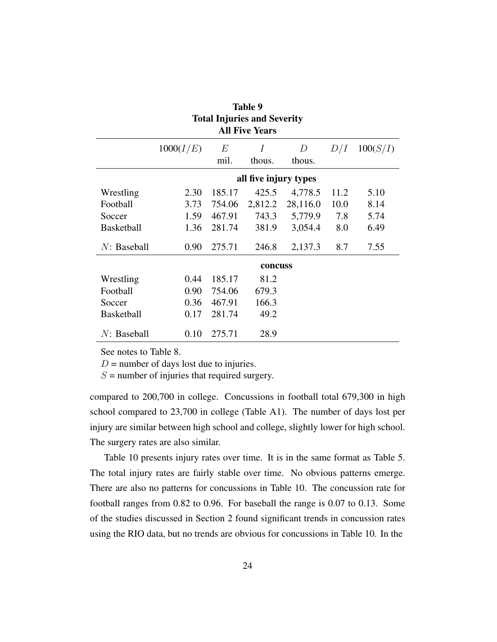| <b>Table 9</b>    |                       |        |                                    |          |      |          |  |
|-------------------|-----------------------|--------|------------------------------------|----------|------|----------|--|
|                   |                       |        | <b>Total Injuries and Severity</b> |          |      |          |  |
|                   | <b>All Five Years</b> |        |                                    |          |      |          |  |
|                   | 1000(I/E)             | E      | Ι                                  | D        | D/I  | 100(S/I) |  |
|                   |                       | mil.   | thous.                             | thous.   |      |          |  |
|                   |                       |        | all five injury types              |          |      |          |  |
| Wrestling         | 2.30                  | 185.17 | 425.5                              | 4,778.5  | 11.2 | 5.10     |  |
| Football          | 3.73                  | 754.06 | 2,812.2                            | 28,116.0 | 10.0 | 8.14     |  |
| Soccer            | 1.59                  | 467.91 | 743.3                              | 5,779.9  | 7.8  | 5.74     |  |
| <b>Basketball</b> | 1.36                  | 281.74 | 381.9                              | 3,054.4  | 8.0  | 6.49     |  |
| $N:$ Baseball     | 0.90                  | 275.71 | 246.8                              | 2,137.3  | 8.7  | 7.55     |  |
|                   |                       |        | concuss                            |          |      |          |  |
| Wrestling         | 0.44                  | 185.17 | 81.2                               |          |      |          |  |
| Football          | 0.90                  | 754.06 | 679.3                              |          |      |          |  |
| Soccer            | 0.36                  | 467.91 | 166.3                              |          |      |          |  |
| <b>Basketball</b> | 0.17                  | 281.74 | 49.2                               |          |      |          |  |
| $N:$ Baseball     | 0.10                  | 275.71 | 28.9                               |          |      |          |  |

See notes to Table 8.

 $D$  = number of days lost due to injuries.

 $S =$  number of injuries that required surgery.

compared to 200,700 in college. Concussions in football total 679,300 in high school compared to 23,700 in college (Table A1). The number of days lost per injury are similar between high school and college, slightly lower for high school. The surgery rates are also similar.

Table 10 presents injury rates over time. It is in the same format as Table 5. The total injury rates are fairly stable over time. No obvious patterns emerge. There are also no patterns for concussions in Table 10. The concussion rate for football ranges from 0.82 to 0.96. For baseball the range is 0.07 to 0.13. Some of the studies discussed in Section 2 found significant trends in concussion rates using the RIO data, but no trends are obvious for concussions in Table 10. In the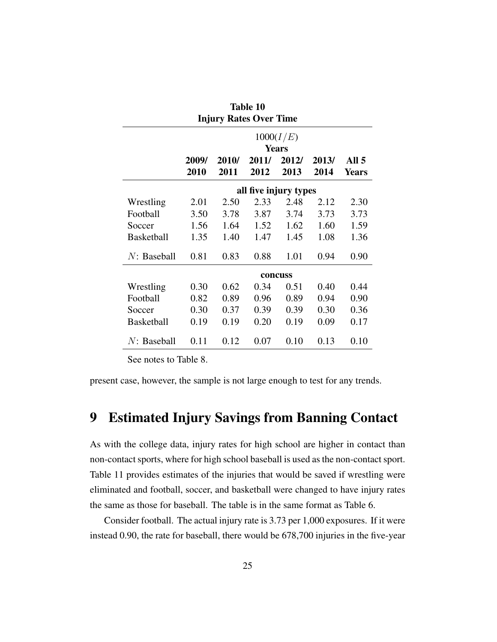|                   | <b>Table 10</b>               |       |                       |              |       |              |
|-------------------|-------------------------------|-------|-----------------------|--------------|-------|--------------|
|                   | <b>Injury Rates Over Time</b> |       |                       |              |       |              |
|                   |                               |       |                       | 1000(I/E)    |       |              |
|                   |                               |       |                       | <b>Years</b> |       |              |
|                   | 2009/                         | 2010/ | 2011/                 | 2012/        | 2013/ | All 5        |
|                   | 2010                          | 2011  | 2012                  | 2013         | 2014  | <b>Years</b> |
|                   |                               |       | all five injury types |              |       |              |
| Wrestling         | 2.01                          | 2.50  | 2.33                  | 2.48         | 2.12  | 2.30         |
| Football          | 3.50                          | 3.78  | 3.87                  | 3.74         | 3.73  | 3.73         |
| Soccer            | 1.56                          | 1.64  | 1.52                  | 1.62         | 1.60  | 1.59         |
| <b>Basketball</b> | 1.35                          | 1.40  | 1.47                  | 1.45         | 1.08  | 1.36         |
| $N:$ Baseball     | 0.81                          | 0.83  | 0.88                  | 1.01         | 0.94  | 0.90         |
|                   |                               |       |                       | concuss      |       |              |
| Wrestling         | 0.30                          | 0.62  | 0.34                  | 0.51         | 0.40  | 0.44         |
| Football          | 0.82                          | 0.89  | 0.96                  | 0.89         | 0.94  | 0.90         |
| Soccer            | 0.30                          | 0.37  | 0.39                  | 0.39         | 0.30  | 0.36         |
| <b>Basketball</b> | 0.19                          | 0.19  | 0.20                  | 0.19         | 0.09  | 0.17         |
| $N:$ Baseball     | 0.11                          | 0.12  | 0.07                  | 0.10         | 0.13  | 0.10         |

See notes to Table 8.

present case, however, the sample is not large enough to test for any trends.

# 9 Estimated Injury Savings from Banning Contact

As with the college data, injury rates for high school are higher in contact than non-contact sports, where for high school baseball is used as the non-contact sport. Table 11 provides estimates of the injuries that would be saved if wrestling were eliminated and football, soccer, and basketball were changed to have injury rates the same as those for baseball. The table is in the same format as Table 6.

Consider football. The actual injury rate is 3.73 per 1,000 exposures. If it were instead 0.90, the rate for baseball, there would be 678,700 injuries in the five-year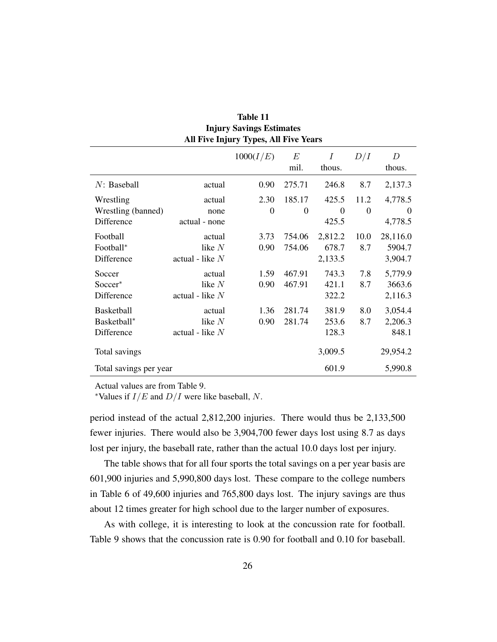|                                                | All Five Injury Types, All Five Years   |                  |                          |                             |                  |                               |  |
|------------------------------------------------|-----------------------------------------|------------------|--------------------------|-----------------------------|------------------|-------------------------------|--|
|                                                |                                         | 1000(I/E)        | E<br>mil.                | Ι<br>thous.                 | D/I              | D<br>thous.                   |  |
| $N:$ Baseball                                  | actual                                  | 0.90             | 275.71                   | 246.8                       | 8.7              | 2,137.3                       |  |
| Wrestling<br>Wrestling (banned)                | actual<br>none                          | 2.30<br>$\Omega$ | 185.17<br>$\overline{0}$ | 425.5<br>$\Omega$           | 11.2<br>$\Omega$ | 4,778.5<br>$\overline{0}$     |  |
| Difference                                     | actual - none                           |                  |                          | 425.5                       |                  | 4,778.5                       |  |
| Football<br>Football*<br>Difference            | actual<br>like $N$<br>actual - like $N$ | 3.73<br>0.90     | 754.06<br>754.06         | 2,812.2<br>678.7<br>2,133.5 | 10.0<br>8.7      | 28,116.0<br>5904.7<br>3,904.7 |  |
| Soccer<br>Soccer <sup>*</sup><br>Difference    | actual<br>like $N$<br>actual - like $N$ | 1.59<br>0.90     | 467.91<br>467.91         | 743.3<br>421.1<br>322.2     | 7.8<br>8.7       | 5,779.9<br>3663.6<br>2,116.3  |  |
| <b>Basketball</b><br>Basketball*<br>Difference | actual<br>like $N$<br>actual - like $N$ | 1.36<br>0.90     | 281.74<br>281.74         | 381.9<br>253.6<br>128.3     | 8.0<br>8.7       | 3,054.4<br>2,206.3<br>848.1   |  |
| Total savings                                  |                                         |                  |                          | 3,009.5                     |                  | 29,954.2                      |  |
| Total savings per year                         |                                         |                  |                          | 601.9                       |                  | 5,990.8                       |  |

| Table 11                                    |
|---------------------------------------------|
| <b>Injury Savings Estimates</b>             |
| <b>dl Five Iniury Types. All Five Years</b> |

Actual values are from Table 9.

\*Values if  $I/E$  and  $D/I$  were like baseball, N.

period instead of the actual 2,812,200 injuries. There would thus be 2,133,500 fewer injuries. There would also be 3,904,700 fewer days lost using 8.7 as days lost per injury, the baseball rate, rather than the actual 10.0 days lost per injury.

The table shows that for all four sports the total savings on a per year basis are 601,900 injuries and 5,990,800 days lost. These compare to the college numbers in Table 6 of 49,600 injuries and 765,800 days lost. The injury savings are thus about 12 times greater for high school due to the larger number of exposures.

As with college, it is interesting to look at the concussion rate for football. Table 9 shows that the concussion rate is 0.90 for football and 0.10 for baseball.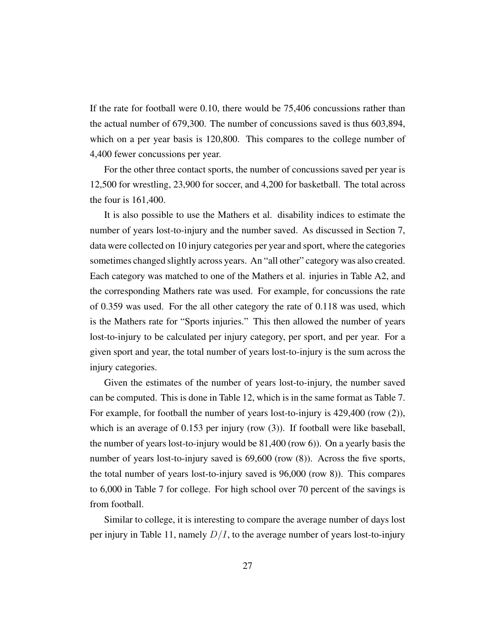If the rate for football were 0.10, there would be 75,406 concussions rather than the actual number of 679,300. The number of concussions saved is thus 603,894, which on a per year basis is 120,800. This compares to the college number of 4,400 fewer concussions per year.

For the other three contact sports, the number of concussions saved per year is 12,500 for wrestling, 23,900 for soccer, and 4,200 for basketball. The total across the four is 161,400.

It is also possible to use the Mathers et al. disability indices to estimate the number of years lost-to-injury and the number saved. As discussed in Section 7, data were collected on 10 injury categories per year and sport, where the categories sometimes changed slightly across years. An "all other" category was also created. Each category was matched to one of the Mathers et al. injuries in Table A2, and the corresponding Mathers rate was used. For example, for concussions the rate of 0.359 was used. For the all other category the rate of 0.118 was used, which is the Mathers rate for "Sports injuries." This then allowed the number of years lost-to-injury to be calculated per injury category, per sport, and per year. For a given sport and year, the total number of years lost-to-injury is the sum across the injury categories.

Given the estimates of the number of years lost-to-injury, the number saved can be computed. This is done in Table 12, which is in the same format as Table 7. For example, for football the number of years lost-to-injury is 429,400 (row (2)), which is an average of 0.153 per injury (row (3)). If football were like baseball, the number of years lost-to-injury would be 81,400 (row 6)). On a yearly basis the number of years lost-to-injury saved is 69,600 (row  $(8)$ ). Across the five sports, the total number of years lost-to-injury saved is 96,000 (row 8)). This compares to 6,000 in Table 7 for college. For high school over 70 percent of the savings is from football.

Similar to college, it is interesting to compare the average number of days lost per injury in Table 11, namely  $D/I$ , to the average number of years lost-to-injury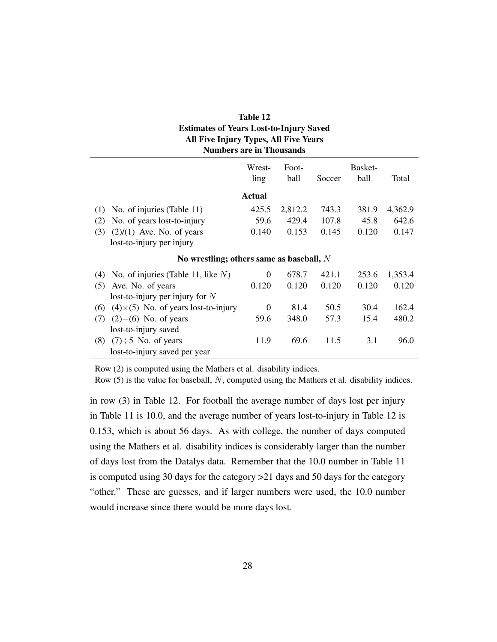| Table 12                                       |
|------------------------------------------------|
| <b>Estimates of Years Lost-to-Injury Saved</b> |
| All Five Injury Types, All Five Years          |
| <b>Numbers are in Thousands</b>                |

|                                                   | Wrest-<br>ling | Foot-<br>ball | Soccer | Basket-<br>ball | Total   |
|---------------------------------------------------|----------------|---------------|--------|-----------------|---------|
|                                                   |                |               |        |                 |         |
|                                                   | <b>Actual</b>  |               |        |                 |         |
| No. of injuries (Table 11)<br>(1)                 | 425.5          | 2,812.2       | 743.3  | 381.9           | 4,362.9 |
| No. of years lost-to-injury<br>(2)                | 59.6           | 429.4         | 107.8  | 45.8            | 642.6   |
| (3)<br>$(2)/(1)$ Ave. No. of years                | 0.140          | 0.153         | 0.145  | 0.120           | 0.147   |
| lost-to-injury per injury                         |                |               |        |                 |         |
| No wrestling; others same as baseball, $N$        |                |               |        |                 |         |
| No. of injuries (Table 11, like $N$ )<br>(4)      | $\Omega$       | 678.7         | 421.1  | 253.6           | 1,353.4 |
| Ave. No. of years<br>(5)                          | 0.120          | 0.120         | 0.120  | 0.120           | 0.120   |
| lost-to-injury per injury for $N$                 |                |               |        |                 |         |
| $(4)\times(5)$ No. of years lost-to-injury<br>(6) | $\Omega$       | 81.4          | 50.5   | 30.4            | 162.4   |
| $(2)$ – $(6)$ No. of years<br>(7)                 | 59.6           | 348.0         | 57.3   | 15.4            | 480.2   |
| lost-to-injury saved                              |                |               |        |                 |         |
| $(7)\div 5$ No. of years<br>(8)                   | 11.9           | 69.6          | 11.5   | 3.1             | 96.0    |
| lost-to-injury saved per year                     |                |               |        |                 |         |

Row (2) is computed using the Mathers et al. disability indices.

Row (5) is the value for baseball, N, computed using the Mathers et al. disability indices.

in row (3) in Table 12. For football the average number of days lost per injury in Table 11 is 10.0, and the average number of years lost-to-injury in Table 12 is 0.153, which is about 56 days. As with college, the number of days computed using the Mathers et al. disability indices is considerably larger than the number of days lost from the Datalys data. Remember that the 10.0 number in Table 11 is computed using 30 days for the category >21 days and 50 days for the category "other." These are guesses, and if larger numbers were used, the 10.0 number would increase since there would be more days lost.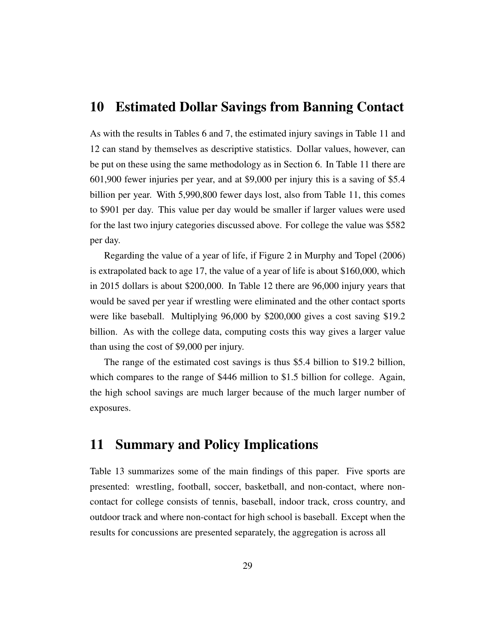### 10 Estimated Dollar Savings from Banning Contact

As with the results in Tables 6 and 7, the estimated injury savings in Table 11 and 12 can stand by themselves as descriptive statistics. Dollar values, however, can be put on these using the same methodology as in Section 6. In Table 11 there are 601,900 fewer injuries per year, and at \$9,000 per injury this is a saving of \$5.4 billion per year. With 5,990,800 fewer days lost, also from Table 11, this comes to \$901 per day. This value per day would be smaller if larger values were used for the last two injury categories discussed above. For college the value was \$582 per day.

Regarding the value of a year of life, if Figure 2 in Murphy and Topel (2006) is extrapolated back to age 17, the value of a year of life is about \$160,000, which in 2015 dollars is about \$200,000. In Table 12 there are 96,000 injury years that would be saved per year if wrestling were eliminated and the other contact sports were like baseball. Multiplying 96,000 by \$200,000 gives a cost saving \$19.2 billion. As with the college data, computing costs this way gives a larger value than using the cost of \$9,000 per injury.

The range of the estimated cost savings is thus \$5.4 billion to \$19.2 billion, which compares to the range of \$446 million to \$1.5 billion for college. Again, the high school savings are much larger because of the much larger number of exposures.

# 11 Summary and Policy Implications

Table 13 summarizes some of the main findings of this paper. Five sports are presented: wrestling, football, soccer, basketball, and non-contact, where noncontact for college consists of tennis, baseball, indoor track, cross country, and outdoor track and where non-contact for high school is baseball. Except when the results for concussions are presented separately, the aggregation is across all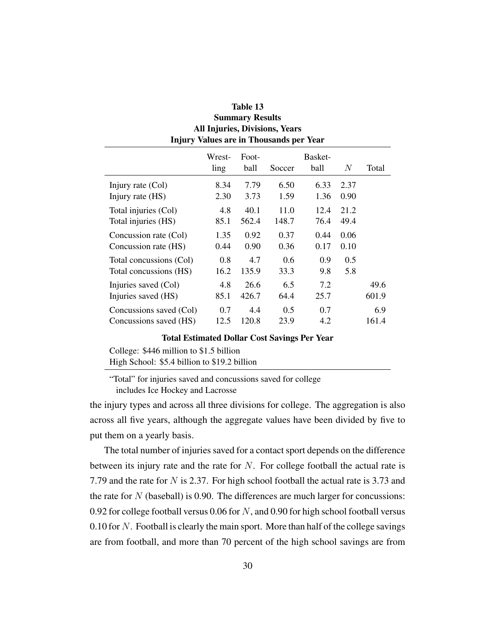| Summary Results<br><b>All Injuries, Divisions, Years</b><br><b>Injury Values are in Thousands per Year</b> |                |               |               |                 |       |       |
|------------------------------------------------------------------------------------------------------------|----------------|---------------|---------------|-----------------|-------|-------|
|                                                                                                            | Wrest-<br>ling | Foot-<br>ball | Soccer        | Basket-<br>ball | $\,N$ | Total |
| Injury rate $(Col)$                                                                                        | 8.34           | 7.79          | 6.50          | 6.33            | 2.37  |       |
| Injury rate (HS)                                                                                           | 2.30           | 3.73          | 1.59          | 1.36            | 0.90  |       |
| Total injuries (Col)                                                                                       | 4.8            | 40.1          | 11.0          | 12.4            | 21.2  |       |
| Total injuries (HS)                                                                                        | 85.1           | 562.4         | 148.7         | 76.4            | 49.4  |       |
| Concussion rate (Col)                                                                                      | 1.35           | 0.92          | 0.37          | 0.44            | 0.06  |       |
| Concussion rate (HS)                                                                                       | 0.44           | 0.90          | 0.36          | 0.17            | 0.10  |       |
| Total concussions (Col)                                                                                    | 0.8            | 4.7           | $0.6^{\circ}$ | 0.9             | 0.5   |       |
| Total concussions (HS)                                                                                     | 16.2           | 135.9         | 33.3          | 9.8             | 5.8   |       |
| Injuries saved (Col)                                                                                       | 4.8            | 26.6          | 6.5           | 7.2             |       | 49.6  |
| Injuries saved (HS)                                                                                        | 85.1           | 426.7         | 64.4          | 25.7            |       | 601.9 |
| Concussions saved (Col)                                                                                    | 0.7            | 4.4           | 0.5           | 0.7             |       | 6.9   |
| Concussions saved (HS)                                                                                     | 12.5           | 120.8         | 23.9          | 4.2             |       | 161.4 |

# Table 13 Summary Results

#### Total Estimated Dollar Cost Savings Per Year

College: \$446 million to \$1.5 billion High School: \$5.4 billion to \$19.2 billion

"Total" for injuries saved and concussions saved for college includes Ice Hockey and Lacrosse

the injury types and across all three divisions for college. The aggregation is also across all five years, although the aggregate values have been divided by five to put them on a yearly basis.

The total number of injuries saved for a contact sport depends on the difference between its injury rate and the rate for  $N$ . For college football the actual rate is 7.79 and the rate for N is 2.37. For high school football the actual rate is 3.73 and the rate for  $N$  (baseball) is 0.90. The differences are much larger for concussions: 0.92 for college football versus 0.06 for N, and 0.90 for high school football versus 0.10 for  $N$ . Football is clearly the main sport. More than half of the college savings are from football, and more than 70 percent of the high school savings are from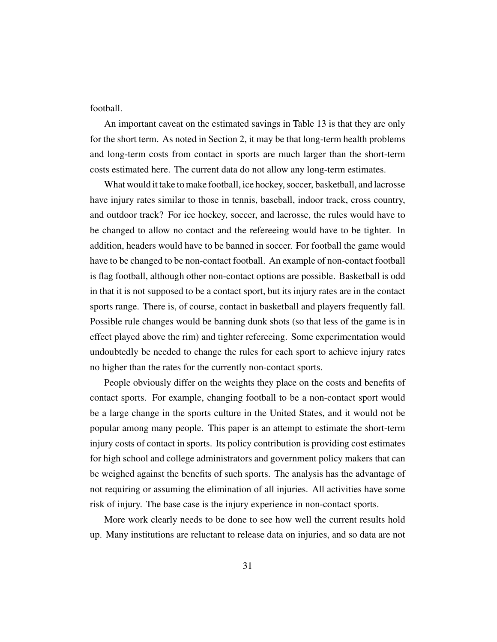football.

An important caveat on the estimated savings in Table 13 is that they are only for the short term. As noted in Section 2, it may be that long-term health problems and long-term costs from contact in sports are much larger than the short-term costs estimated here. The current data do not allow any long-term estimates.

What would it take to make football, ice hockey, soccer, basketball, and lacrosse have injury rates similar to those in tennis, baseball, indoor track, cross country, and outdoor track? For ice hockey, soccer, and lacrosse, the rules would have to be changed to allow no contact and the refereeing would have to be tighter. In addition, headers would have to be banned in soccer. For football the game would have to be changed to be non-contact football. An example of non-contact football is flag football, although other non-contact options are possible. Basketball is odd in that it is not supposed to be a contact sport, but its injury rates are in the contact sports range. There is, of course, contact in basketball and players frequently fall. Possible rule changes would be banning dunk shots (so that less of the game is in effect played above the rim) and tighter refereeing. Some experimentation would undoubtedly be needed to change the rules for each sport to achieve injury rates no higher than the rates for the currently non-contact sports.

People obviously differ on the weights they place on the costs and benefits of contact sports. For example, changing football to be a non-contact sport would be a large change in the sports culture in the United States, and it would not be popular among many people. This paper is an attempt to estimate the short-term injury costs of contact in sports. Its policy contribution is providing cost estimates for high school and college administrators and government policy makers that can be weighed against the benefits of such sports. The analysis has the advantage of not requiring or assuming the elimination of all injuries. All activities have some risk of injury. The base case is the injury experience in non-contact sports.

More work clearly needs to be done to see how well the current results hold up. Many institutions are reluctant to release data on injuries, and so data are not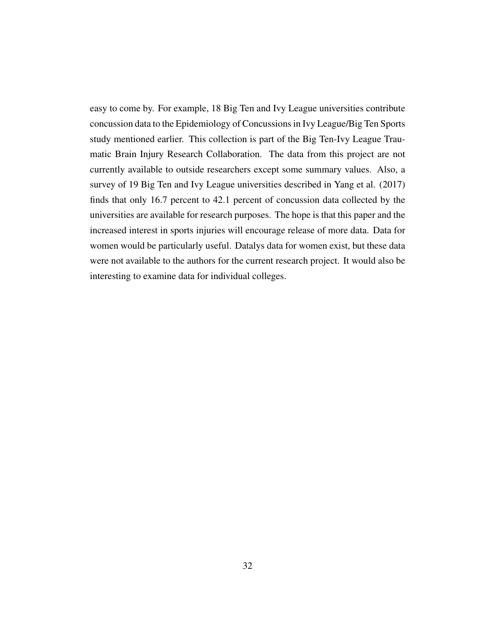easy to come by. For example, 18 Big Ten and Ivy League universities contribute concussion data to the Epidemiology of Concussions in Ivy League/Big Ten Sports study mentioned earlier. This collection is part of the Big Ten-Ivy League Traumatic Brain Injury Research Collaboration. The data from this project are not currently available to outside researchers except some summary values. Also, a survey of 19 Big Ten and Ivy League universities described in Yang et al. (2017) finds that only 16.7 percent to 42.1 percent of concussion data collected by the universities are available for research purposes. The hope is that this paper and the increased interest in sports injuries will encourage release of more data. Data for women would be particularly useful. Datalys data for women exist, but these data were not available to the authors for the current research project. It would also be interesting to examine data for individual colleges.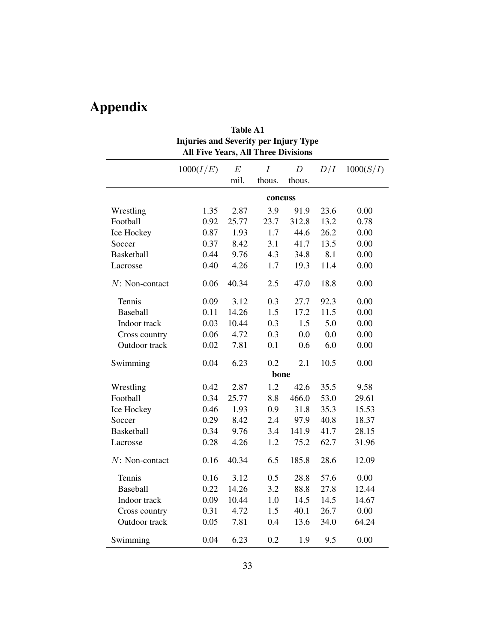# Appendix

| <b>Injuries and Severity per Injury Type</b><br>All Five Years, All Three Divisions |           |       |          |                  |      |           |  |
|-------------------------------------------------------------------------------------|-----------|-------|----------|------------------|------|-----------|--|
|                                                                                     | 1000(I/E) | E     | $\cal I$ | $\boldsymbol{D}$ | D/I  | 1000(S/I) |  |
|                                                                                     |           | mil.  | thous.   | thous.           |      |           |  |
| concuss                                                                             |           |       |          |                  |      |           |  |
| Wrestling                                                                           | 1.35      | 2.87  | 3.9      | 91.9             | 23.6 | 0.00      |  |
| Football                                                                            | 0.92      | 25.77 | 23.7     | 312.8            | 13.2 | 0.78      |  |
| Ice Hockey                                                                          | 0.87      | 1.93  | 1.7      | 44.6             | 26.2 | 0.00      |  |
| Soccer                                                                              | 0.37      | 8.42  | 3.1      | 41.7             | 13.5 | 0.00      |  |
| <b>Basketball</b>                                                                   | 0.44      | 9.76  | 4.3      | 34.8             | 8.1  | 0.00      |  |
| Lacrosse                                                                            | 0.40      | 4.26  | 1.7      | 19.3             | 11.4 | 0.00      |  |
| $N: Non-contact$                                                                    | 0.06      | 40.34 | 2.5      | 47.0             | 18.8 | 0.00      |  |
| Tennis                                                                              | 0.09      | 3.12  | 0.3      | 27.7             | 92.3 | 0.00      |  |
| Baseball                                                                            | 0.11      | 14.26 | 1.5      | 17.2             | 11.5 | 0.00      |  |
| Indoor track                                                                        | 0.03      | 10.44 | 0.3      | 1.5              | 5.0  | 0.00      |  |
| Cross country                                                                       | 0.06      | 4.72  | 0.3      | 0.0              | 0.0  | 0.00      |  |
| Outdoor track                                                                       | 0.02      | 7.81  | 0.1      | 0.6              | 6.0  | 0.00      |  |
| Swimming                                                                            | 0.04      | 6.23  | 0.2      | 2.1              | 10.5 | 0.00      |  |
|                                                                                     |           |       | bone     |                  |      |           |  |
| Wrestling                                                                           | 0.42      | 2.87  | 1.2      | 42.6             | 35.5 | 9.58      |  |
| Football                                                                            | 0.34      | 25.77 | 8.8      | 466.0            | 53.0 | 29.61     |  |
| Ice Hockey                                                                          | 0.46      | 1.93  | 0.9      | 31.8             | 35.3 | 15.53     |  |
| Soccer                                                                              | 0.29      | 8.42  | 2.4      | 97.9             | 40.8 | 18.37     |  |
| <b>Basketball</b>                                                                   | 0.34      | 9.76  | 3.4      | 141.9            | 41.7 | 28.15     |  |
| Lacrosse                                                                            | 0.28      | 4.26  | 1.2      | 75.2             | 62.7 | 31.96     |  |
| $N: Non-contact$                                                                    | 0.16      | 40.34 | 6.5      | 185.8            | 28.6 | 12.09     |  |
| Tennis                                                                              | 0.16      | 3.12  | 0.5      | 28.8             | 57.6 | 0.00      |  |
| Baseball                                                                            | 0.22      | 14.26 | 3.2      | 88.8             | 27.8 | 12.44     |  |
| Indoor track                                                                        | 0.09      | 10.44 | $1.0\,$  | 14.5             | 14.5 | 14.67     |  |
| Cross country                                                                       | 0.31      | 4.72  | 1.5      | 40.1             | 26.7 | 0.00      |  |
| Outdoor track                                                                       | 0.05      | 7.81  | 0.4      | 13.6             | 34.0 | 64.24     |  |
| Swimming                                                                            | 0.04      | 6.23  | 0.2      | 1.9              | 9.5  | 0.00      |  |

Table A1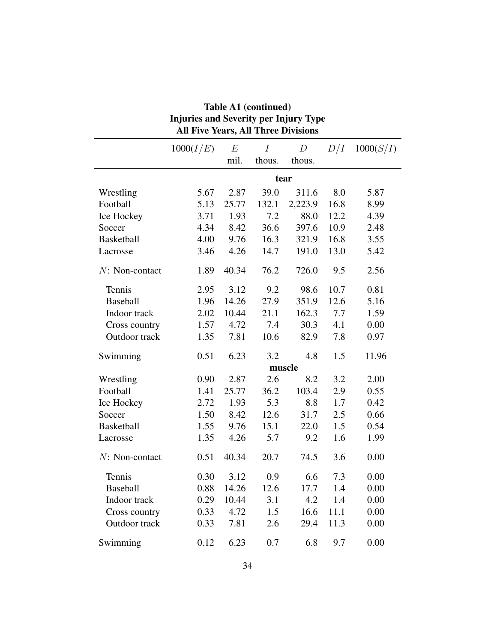| Injuries and Severity per Injury Type<br><b>All Five Years, All Three Divisions</b> |           |       |        |         |      |           |
|-------------------------------------------------------------------------------------|-----------|-------|--------|---------|------|-----------|
|                                                                                     | 1000(I/E) | E     | Ι      | D       | D/I  | 1000(S/I) |
|                                                                                     |           | mil.  | thous. | thous.  |      |           |
|                                                                                     |           |       |        | tear    |      |           |
| Wrestling                                                                           | 5.67      | 2.87  | 39.0   | 311.6   | 8.0  | 5.87      |
| Football                                                                            | 5.13      | 25.77 | 132.1  | 2,223.9 | 16.8 | 8.99      |
| Ice Hockey                                                                          | 3.71      | 1.93  | 7.2    | 88.0    | 12.2 | 4.39      |
| Soccer                                                                              | 4.34      | 8.42  | 36.6   | 397.6   | 10.9 | 2.48      |
| <b>Basketball</b>                                                                   | 4.00      | 9.76  | 16.3   | 321.9   | 16.8 | 3.55      |
| Lacrosse                                                                            | 3.46      | 4.26  | 14.7   | 191.0   | 13.0 | 5.42      |
| $N: Non-contact$                                                                    | 1.89      | 40.34 | 76.2   | 726.0   | 9.5  | 2.56      |
| Tennis                                                                              | 2.95      | 3.12  | 9.2    | 98.6    | 10.7 | 0.81      |
| <b>Baseball</b>                                                                     | 1.96      | 14.26 | 27.9   | 351.9   | 12.6 | 5.16      |
| Indoor track                                                                        | 2.02      | 10.44 | 21.1   | 162.3   | 7.7  | 1.59      |
| Cross country                                                                       | 1.57      | 4.72  | 7.4    | 30.3    | 4.1  | 0.00      |
| Outdoor track                                                                       | 1.35      | 7.81  | 10.6   | 82.9    | 7.8  | 0.97      |
| Swimming                                                                            | 0.51      | 6.23  | 3.2    | 4.8     | 1.5  | 11.96     |
|                                                                                     |           |       |        | muscle  |      |           |
| Wrestling                                                                           | 0.90      | 2.87  | 2.6    | 8.2     | 3.2  | 2.00      |
| Football                                                                            | 1.41      | 25.77 | 36.2   | 103.4   | 2.9  | 0.55      |
| Ice Hockey                                                                          | 2.72      | 1.93  | 5.3    | 8.8     | 1.7  | 0.42      |
| Soccer                                                                              | 1.50      | 8.42  | 12.6   | 31.7    | 2.5  | 0.66      |
| Basketball                                                                          | 1.55      | 9.76  | 15.1   | 22.0    | 1.5  | 0.54      |
| Lacrosse                                                                            | 1.35      | 4.26  | 5.7    | 9.2     | 1.6  | 1.99      |
| $N: Non-contact$                                                                    | 0.51      | 40.34 | 20.7   | 74.5    | 3.6  | 0.00      |
| Tennis                                                                              | 0.30      | 3.12  | 0.9    | 6.6     | 7.3  | 0.00      |
| <b>Baseball</b>                                                                     | 0.88      | 14.26 | 12.6   | 17.7    | 1.4  | 0.00      |
| Indoor track                                                                        | 0.29      | 10.44 | 3.1    | 4.2     | 1.4  | 0.00      |
| Cross country                                                                       | 0.33      | 4.72  | 1.5    | 16.6    | 11.1 | 0.00      |
| Outdoor track                                                                       | 0.33      | 7.81  | 2.6    | 29.4    | 11.3 | 0.00      |
| Swimming                                                                            | 0.12      | 6.23  | 0.7    | 6.8     | 9.7  | 0.00      |

# Table A1 (continued) Injuries and Severity per Injury Type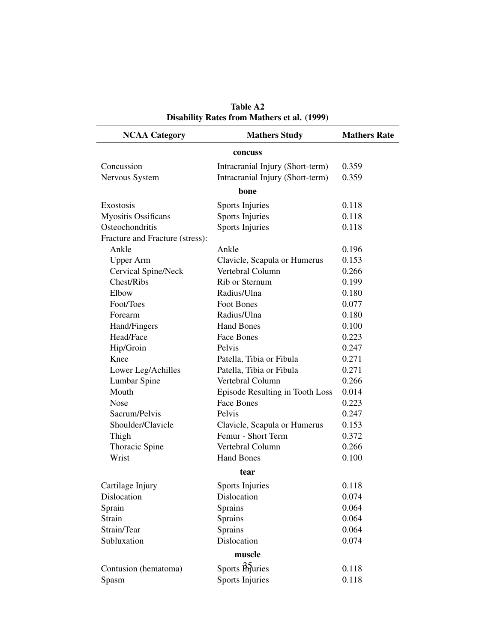| <b>NCAA Category</b>            | <b>Mathers Study</b>             | <b>Mathers Rate</b> |  |  |  |  |
|---------------------------------|----------------------------------|---------------------|--|--|--|--|
| concuss                         |                                  |                     |  |  |  |  |
| Concussion                      | Intracranial Injury (Short-term) | 0.359               |  |  |  |  |
| Nervous System                  | Intracranial Injury (Short-term) | 0.359               |  |  |  |  |
|                                 | bone                             |                     |  |  |  |  |
| Exostosis                       | <b>Sports Injuries</b>           | 0.118               |  |  |  |  |
| <b>Myositis Ossificans</b>      | <b>Sports Injuries</b>           | 0.118               |  |  |  |  |
| Osteochondritis                 | <b>Sports Injuries</b>           | 0.118               |  |  |  |  |
| Fracture and Fracture (stress): |                                  |                     |  |  |  |  |
| Ankle                           | Ankle                            | 0.196               |  |  |  |  |
| <b>Upper Arm</b>                | Clavicle, Scapula or Humerus     | 0.153               |  |  |  |  |
| Cervical Spine/Neck             | Vertebral Column                 | 0.266               |  |  |  |  |
| Chest/Ribs                      | Rib or Sternum                   | 0.199               |  |  |  |  |
| Elbow                           | Radius/Ulna                      | 0.180               |  |  |  |  |
| Foot/Toes                       | Foot Bones                       | 0.077               |  |  |  |  |
| Forearm                         | Radius/Ulna                      | 0.180               |  |  |  |  |
| Hand/Fingers                    | <b>Hand Bones</b>                | 0.100               |  |  |  |  |
| Head/Face                       | Face Bones                       | 0.223               |  |  |  |  |
| Hip/Groin                       | Pelvis                           | 0.247               |  |  |  |  |
| Knee                            | Patella, Tibia or Fibula         | 0.271               |  |  |  |  |
| Lower Leg/Achilles              | Patella, Tibia or Fibula         | 0.271               |  |  |  |  |
| Lumbar Spine                    | Vertebral Column                 | 0.266               |  |  |  |  |
| Mouth                           | Episode Resulting in Tooth Loss  | 0.014               |  |  |  |  |
| <b>Nose</b>                     | <b>Face Bones</b>                | 0.223               |  |  |  |  |
| Sacrum/Pelvis                   | Pelvis                           | 0.247               |  |  |  |  |
| Shoulder/Clavicle               | Clavicle, Scapula or Humerus     | 0.153               |  |  |  |  |
| Thigh                           | Femur - Short Term               | 0.372               |  |  |  |  |
| Thoracic Spine                  | Vertebral Column                 | 0.266               |  |  |  |  |
| Wrist                           | <b>Hand Bones</b>                | 0.100               |  |  |  |  |
|                                 | tear                             |                     |  |  |  |  |
| Cartilage Injury                | <b>Sports Injuries</b>           | 0.118               |  |  |  |  |
| Dislocation                     | Dislocation                      | 0.074               |  |  |  |  |
| Sprain                          | Sprains                          | 0.064               |  |  |  |  |
| <b>Strain</b>                   | Sprains                          | 0.064               |  |  |  |  |
| Strain/Tear                     | Sprains                          | 0.064               |  |  |  |  |
| Subluxation                     | Dislocation                      | 0.074               |  |  |  |  |
|                                 | muscle                           |                     |  |  |  |  |
| Contusion (hematoma)            | Sports muries                    | 0.118               |  |  |  |  |
| Spasm                           | <b>Sports Injuries</b>           | 0.118               |  |  |  |  |

Table A2 Disability Rates from Mathers et al. (1999)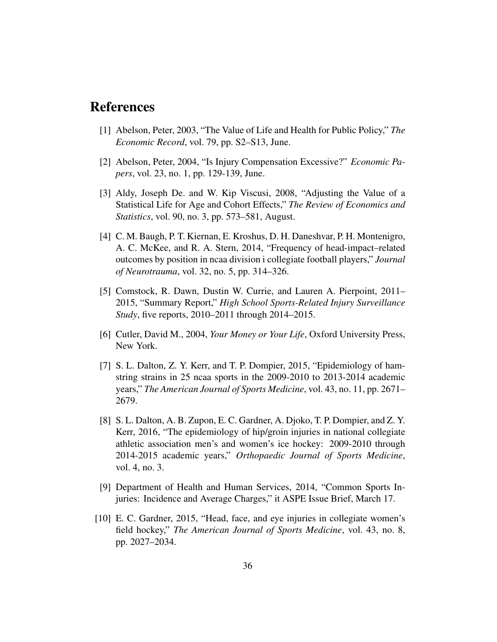### References

- [1] Abelson, Peter, 2003, "The Value of Life and Health for Public Policy," *The Economic Record*, vol. 79, pp. S2–S13, June.
- [2] Abelson, Peter, 2004, "Is Injury Compensation Excessive?" *Economic Papers*, vol. 23, no. 1, pp. 129-139, June.
- [3] Aldy, Joseph De. and W. Kip Viscusi, 2008, "Adjusting the Value of a Statistical Life for Age and Cohort Effects," *The Review of Economics and Statistics*, vol. 90, no. 3, pp. 573–581, August.
- [4] C. M. Baugh, P. T. Kiernan, E. Kroshus, D. H. Daneshvar, P. H. Montenigro, A. C. McKee, and R. A. Stern, 2014, "Frequency of head-impact–related outcomes by position in ncaa division i collegiate football players," *Journal of Neurotrauma*, vol. 32, no. 5, pp. 314–326.
- [5] Comstock, R. Dawn, Dustin W. Currie, and Lauren A. Pierpoint, 2011– 2015, "Summary Report," *High School Sports-Related Injury Surveillance Study*, five reports, 2010–2011 through 2014–2015.
- [6] Cutler, David M., 2004, *Your Money or Your Life*, Oxford University Press, New York.
- [7] S. L. Dalton, Z. Y. Kerr, and T. P. Dompier, 2015, "Epidemiology of hamstring strains in 25 ncaa sports in the 2009-2010 to 2013-2014 academic years," *The American Journal of Sports Medicine*, vol. 43, no. 11, pp. 2671– 2679.
- [8] S. L. Dalton, A. B. Zupon, E. C. Gardner, A. Djoko, T. P. Dompier, and Z. Y. Kerr, 2016, "The epidemiology of hip/groin injuries in national collegiate athletic association men's and women's ice hockey: 2009-2010 through 2014-2015 academic years," *Orthopaedic Journal of Sports Medicine*, vol. 4, no. 3.
- [9] Department of Health and Human Services, 2014, "Common Sports Injuries: Incidence and Average Charges," it ASPE Issue Brief, March 17.
- [10] E. C. Gardner, 2015, "Head, face, and eye injuries in collegiate women's field hockey," *The American Journal of Sports Medicine*, vol. 43, no. 8, pp. 2027–2034.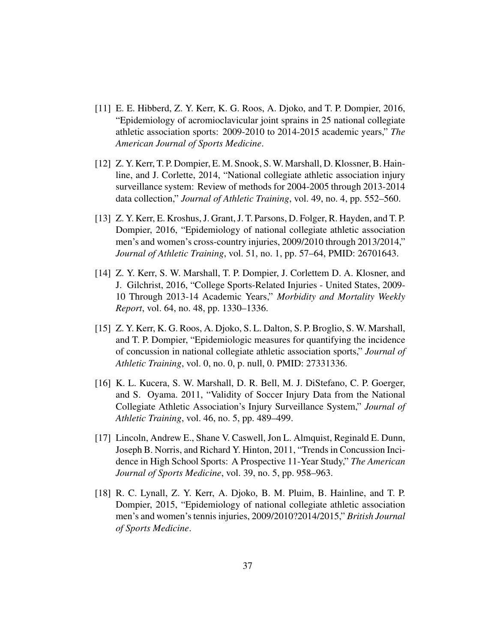- [11] E. E. Hibberd, Z. Y. Kerr, K. G. Roos, A. Djoko, and T. P. Dompier, 2016, "Epidemiology of acromioclavicular joint sprains in 25 national collegiate athletic association sports: 2009-2010 to 2014-2015 academic years," *The American Journal of Sports Medicine*.
- [12] Z. Y. Kerr, T. P. Dompier, E. M. Snook, S.W. Marshall, D. Klossner, B. Hainline, and J. Corlette, 2014, "National collegiate athletic association injury surveillance system: Review of methods for 2004-2005 through 2013-2014 data collection," *Journal of Athletic Training*, vol. 49, no. 4, pp. 552–560.
- [13] Z. Y. Kerr, E. Kroshus, J. Grant, J. T. Parsons, D. Folger, R. Hayden, and T. P. Dompier, 2016, "Epidemiology of national collegiate athletic association men's and women's cross-country injuries, 2009/2010 through 2013/2014," *Journal of Athletic Training*, vol. 51, no. 1, pp. 57–64, PMID: 26701643.
- [14] Z. Y. Kerr, S. W. Marshall, T. P. Dompier, J. Corlettem D. A. Klosner, and J. Gilchrist, 2016, "College Sports-Related Injuries - United States, 2009- 10 Through 2013-14 Academic Years," *Morbidity and Mortality Weekly Report*, vol. 64, no. 48, pp. 1330–1336.
- [15] Z. Y. Kerr, K. G. Roos, A. Djoko, S. L. Dalton, S. P. Broglio, S. W. Marshall, and T. P. Dompier, "Epidemiologic measures for quantifying the incidence of concussion in national collegiate athletic association sports," *Journal of Athletic Training*, vol. 0, no. 0, p. null, 0. PMID: 27331336.
- [16] K. L. Kucera, S. W. Marshall, D. R. Bell, M. J. DiStefano, C. P. Goerger, and S. Oyama. 2011, "Validity of Soccer Injury Data from the National Collegiate Athletic Association's Injury Surveillance System," *Journal of Athletic Training*, vol. 46, no. 5, pp. 489–499.
- [17] Lincoln, Andrew E., Shane V. Caswell, Jon L. Almquist, Reginald E. Dunn, Joseph B. Norris, and Richard Y. Hinton, 2011, "Trends in Concussion Incidence in High School Sports: A Prospective 11-Year Study," *The American Journal of Sports Medicine*, vol. 39, no. 5, pp. 958–963.
- [18] R. C. Lynall, Z. Y. Kerr, A. Djoko, B. M. Pluim, B. Hainline, and T. P. Dompier, 2015, "Epidemiology of national collegiate athletic association men's and women's tennis injuries, 2009/2010?2014/2015," *British Journal of Sports Medicine*.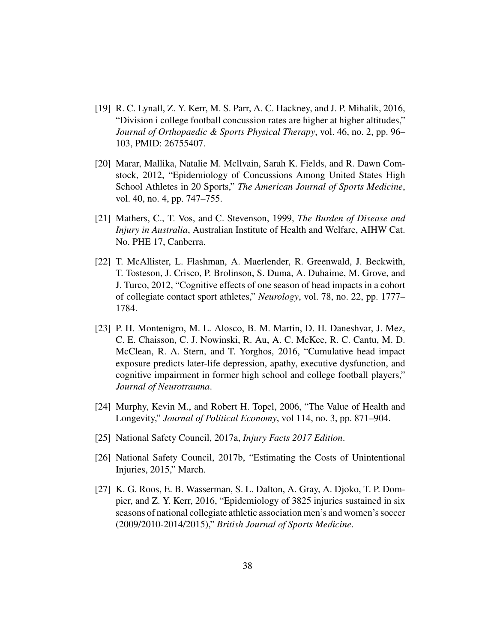- [19] R. C. Lynall, Z. Y. Kerr, M. S. Parr, A. C. Hackney, and J. P. Mihalik, 2016, "Division i college football concussion rates are higher at higher altitudes," *Journal of Orthopaedic & Sports Physical Therapy*, vol. 46, no. 2, pp. 96– 103, PMID: 26755407.
- [20] Marar, Mallika, Natalie M. Mcllvain, Sarah K. Fields, and R. Dawn Comstock, 2012, "Epidemiology of Concussions Among United States High School Athletes in 20 Sports," *The American Journal of Sports Medicine*, vol. 40, no. 4, pp. 747–755.
- [21] Mathers, C., T. Vos, and C. Stevenson, 1999, *The Burden of Disease and Injury in Australia*, Australian Institute of Health and Welfare, AIHW Cat. No. PHE 17, Canberra.
- [22] T. McAllister, L. Flashman, A. Maerlender, R. Greenwald, J. Beckwith, T. Tosteson, J. Crisco, P. Brolinson, S. Duma, A. Duhaime, M. Grove, and J. Turco, 2012, "Cognitive effects of one season of head impacts in a cohort of collegiate contact sport athletes," *Neurology*, vol. 78, no. 22, pp. 1777– 1784.
- [23] P. H. Montenigro, M. L. Alosco, B. M. Martin, D. H. Daneshvar, J. Mez, C. E. Chaisson, C. J. Nowinski, R. Au, A. C. McKee, R. C. Cantu, M. D. McClean, R. A. Stern, and T. Yorghos, 2016, "Cumulative head impact exposure predicts later-life depression, apathy, executive dysfunction, and cognitive impairment in former high school and college football players," *Journal of Neurotrauma*.
- [24] Murphy, Kevin M., and Robert H. Topel, 2006, "The Value of Health and Longevity," *Journal of Political Economy*, vol 114, no. 3, pp. 871–904.
- [25] National Safety Council, 2017a, *Injury Facts 2017 Edition*.
- [26] National Safety Council, 2017b, "Estimating the Costs of Unintentional Injuries, 2015," March.
- [27] K. G. Roos, E. B. Wasserman, S. L. Dalton, A. Gray, A. Djoko, T. P. Dompier, and Z. Y. Kerr, 2016, "Epidemiology of 3825 injuries sustained in six seasons of national collegiate athletic association men's and women's soccer (2009/2010-2014/2015)," *British Journal of Sports Medicine*.